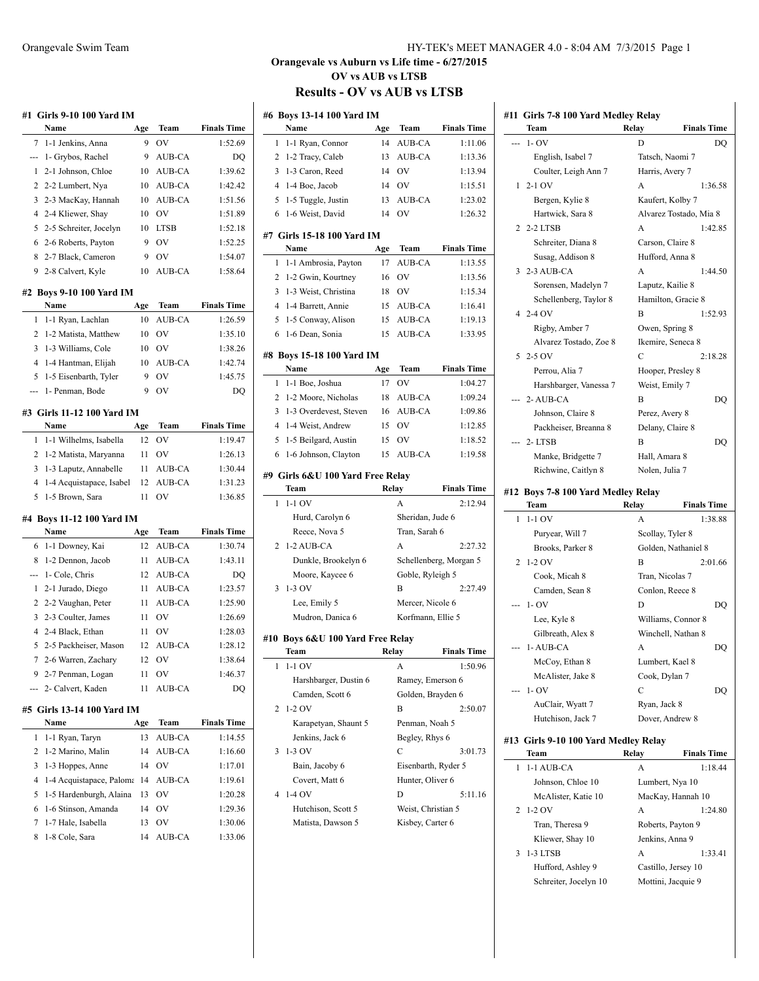|                 | Name                               | Age | Team          | <b>Finals Time</b> |
|-----------------|------------------------------------|-----|---------------|--------------------|
| 7               | 1-1 Jenkins, Anna                  | 9   | ov            | 1:52.69            |
| ---             | 1- Grybos, Rachel                  | 9   | AUB-CA        | DQ                 |
| 1               | 2-1 Johnson, Chloe                 | 10  | AUB-CA        | 1:39.62            |
| 2               | 2-2 Lumbert, Nya                   | 10  | AUB-CA        | 1:42.42            |
| 3               | 2-3 MacKay, Hannah                 | 10  | AUB-CA        | 1:51.56            |
| 4               | 2-4 Kliewer, Shay                  | 10  | OV            | 1:51.89            |
| 5               | 2-5 Schreiter, Jocelyn             | 10  | <b>LTSB</b>   | 1:52.18            |
| 6               | 2-6 Roberts, Payton                | 9   | ov            | 1:52.25            |
| 8               | 2-7 Black, Cameron                 | 9   | OV            | 1:54.07            |
| 9               | 2-8 Calvert, Kyle                  | 10  | AUB-CA        | 1:58.64            |
|                 | #2 Boys 9-10 100 Yard IM           |     |               |                    |
|                 | Name                               | Age | Team          | <b>Finals Time</b> |
| 1               | 1-1 Ryan, Lachlan                  | 10  | AUB-CA        | 1:26.59            |
| 2               | 1-2 Matista, Matthew               | 10  | OV            | 1:35.10            |
| 3               | 1-3 Williams, Cole                 | 10  | OV            | 1:38.26            |
| 4               | 1-4 Hantman, Elijah                | 10  | <b>AUB-CA</b> | 1:42.74            |
| 5               | 1-5 Eisenbarth, Tyler              | 9   | OV            | 1:45.75            |
| ---             | 1- Penman, Bode                    | 9   | OV            | DQ                 |
|                 | #3 Girls 11-12 100 Yard IM         |     |               |                    |
|                 | Name                               | Age | Team          | <b>Finals Time</b> |
| 1               | 1-1 Wilhelms, Isabella             | 12  | ov            | 1:19.47            |
| 2               | 1-2 Matista, Maryanna              | 11  | ov            | 1:26.13            |
| 3               | 1-3 Laputz, Annabelle              | 11  | AUB-CA        | 1:30.44            |
| 4               | 1-4 Acquistapace, Isabel           | 12  | AUB-CA        | 1:31.23            |
| 5               | 1-5 Brown, Sara                    | 11  | OV            | 1:36.85            |
|                 | #4 Boys 11-12 100 Yard IM<br>Name  | Age | Team          | <b>Finals Time</b> |
|                 |                                    |     | AUB-CA        |                    |
|                 |                                    |     |               |                    |
| 6               | 1-1 Downey, Kai                    | 12  |               | 1:30.74            |
| 8               | 1-2 Dennon, Jacob                  | 11  | AUB-CA        | 1:43.11            |
|                 | 1- Cole, Chris                     | 12  | AUB-CA        | DQ                 |
| 1               | 2-1 Jurado, Diego                  | 11  | AUB-CA        | 1:23.57            |
| 2               | 2-2 Vaughan, Peter                 | 11  | AUB-CA        | 1:25.90            |
| 3               | 2-3 Coulter, James                 | 11  | OV            | 1:26.69            |
| 4               | 2-4 Black, Ethan                   | 11  | OV            | 1:28.03            |
| 5               | 2-5 Packheiser, Mason              | 12  | AUB-CA        | 1:28.12            |
| 7               | 2-6 Warren, Zachary                | 12  | ov            | 1:38.64            |
| 9               | 2-7 Penman, Logan                  | 11  | ov            | 1:46.37            |
|                 | 2- Calvert, Kaden                  | 11  | AUB-CA        | DO                 |
|                 | #5 Girls 13-14 100 Yard IM<br>Name | Age | Team          | <b>Finals Time</b> |
| 1               | 1-1 Ryan, Taryn                    | 13  | AUB-CA        | 1:14.55            |
| 2               | 1-2 Marino, Malin                  | 14  | <b>AUB-CA</b> | 1:16.60            |
| 3               | 1-3 Hoppes, Anne                   | 14  | OV            | 1:17.01            |
| 4               | 1-4 Acquistapace, Paloma           | 14  | AUB-CA        | 1:19.61            |
| 5               | 1-5 Hardenburgh, Alaina            | 13  | OV            | 1:20.28            |
| ---<br>---<br>6 | 1-6 Stinson, Amanda                | 14  | OV            | 1:29.36            |
| 7               | 1-7 Hale, Isabella                 | 13  | ov            | 1:30.06            |
| 8               | 1-8 Cole, Sara                     | 14  | AUB-CA        | 1:33.06            |

#### Orangevale Swim Team HY-TEK's MEET MANAGER 4.0 - 8:04 AM 7/3/2015 Page 1

#### **Orangevale vs Auburn vs Life time - 6/27/2015 OV vs AUB vs LTSB Results - OV vs AUB vs LTSB**

| #6 Boys 13-14 100 Yard IM         |                                         |          |                                        |                        |  |  |  |  |
|-----------------------------------|-----------------------------------------|----------|----------------------------------------|------------------------|--|--|--|--|
|                                   | Name                                    | Age      | Team                                   | <b>Finals Time</b>     |  |  |  |  |
| 1                                 | 1-1 Ryan, Connor                        | 14       | <b>AUB-CA</b>                          | 1:11.06                |  |  |  |  |
| 2                                 | 1-2 Tracy, Caleb                        | 13       | AUB-CA                                 | 1:13.36                |  |  |  |  |
| 3                                 | 1-3 Caron, Reed                         | 14       | OV                                     | 1:13.94                |  |  |  |  |
| 4                                 | 1-4 Boe, Jacob                          | 14       | OV                                     | 1:15.51                |  |  |  |  |
| 5                                 | 1-5 Tuggle, Justin                      | 13       | AUB-CA                                 | 1:23.02                |  |  |  |  |
| 6                                 | 1-6 Weist, David                        | 14       | OV                                     | 1:26.32                |  |  |  |  |
|                                   | #7 Girls 15-18 100 Yard IM              |          |                                        |                        |  |  |  |  |
|                                   | Name                                    | Age      | Team                                   | <b>Finals Time</b>     |  |  |  |  |
| 1                                 | 1-1 Ambrosia, Payton                    | 17       | AUB-CA                                 | 1:13.55                |  |  |  |  |
| 2                                 | 1-2 Gwin, Kourtney                      | 16       | OV                                     | 1:13.56                |  |  |  |  |
| 3                                 | 1-3 Weist, Christina                    | 18       | OV                                     | 1:15.34                |  |  |  |  |
| 4                                 | 1-4 Barrett, Annie                      | 15       | AUB-CA                                 | 1:16.41                |  |  |  |  |
| 5                                 | 1-5 Conway, Alison                      | 15       | AUB-CA                                 | 1:19.13                |  |  |  |  |
| 6                                 | 1-6 Dean, Sonia                         | 15       | AUB-CA                                 | 1:33.95                |  |  |  |  |
|                                   |                                         |          |                                        |                        |  |  |  |  |
|                                   | #8 Boys 15-18 100 Yard IM<br>Name       |          |                                        |                        |  |  |  |  |
|                                   |                                         | Age      | Team                                   | <b>Finals Time</b>     |  |  |  |  |
| 1<br>2                            | 1-1 Boe, Joshua<br>1-2 Moore, Nicholas  | 17<br>18 | OV                                     | 1:04.27                |  |  |  |  |
| 3                                 | 1-3 Overdevest, Steven                  | 16       | AUB-CA<br>AUB-CA                       | 1:09.24<br>1:09.86     |  |  |  |  |
| 4                                 | 1-4 Weist, Andrew                       | 15       | OV                                     | 1:12.85                |  |  |  |  |
| 5                                 | 1-5 Beilgard, Austin                    | 15       | OV                                     | 1:18.52                |  |  |  |  |
| 6                                 | 1-6 Johnson, Clayton                    | 15       | <b>AUB-CA</b>                          | 1:19.58                |  |  |  |  |
|                                   |                                         |          |                                        |                        |  |  |  |  |
| #9  Girls 6&U 100 Yard Free Relay |                                         |          |                                        |                        |  |  |  |  |
|                                   |                                         |          |                                        |                        |  |  |  |  |
|                                   | Team                                    |          | Relay                                  | <b>Finals Time</b>     |  |  |  |  |
| 1                                 | $1-1$ OV                                |          | A                                      | 2:12.94                |  |  |  |  |
|                                   | Hurd, Carolyn 6                         |          | Sheridan, Jude 6                       |                        |  |  |  |  |
|                                   | Reece, Nova 5                           |          | Tran, Sarah 6                          |                        |  |  |  |  |
| 2                                 | 1-2 AUB-CA                              |          | A                                      | 2:27.32                |  |  |  |  |
|                                   | Dunkle, Brookelyn 6                     |          |                                        | Schellenberg, Morgan 5 |  |  |  |  |
|                                   | Moore, Kaycee 6                         |          | Goble, Ryleigh 5                       |                        |  |  |  |  |
| 3                                 | 1-3 OV                                  |          | B                                      | 2:27.49                |  |  |  |  |
|                                   | Lee, Emily 5                            |          | Mercer, Nicole 6                       |                        |  |  |  |  |
|                                   | Mudron, Danica 6                        |          | Korfmann, Ellie 5                      |                        |  |  |  |  |
|                                   | #10 Boys 6&U 100 Yard Free Relay        |          |                                        |                        |  |  |  |  |
|                                   | Team                                    | Relay    |                                        | <b>Finals Time</b>     |  |  |  |  |
|                                   | 1-1 OV                                  |          | A                                      | 1:50.96                |  |  |  |  |
|                                   | Harshbarger, Dustin 6                   |          | Ramey, Emerson 6                       |                        |  |  |  |  |
|                                   | Camden, Scott 6                         |          | Golden, Brayden 6                      |                        |  |  |  |  |
| 2                                 | $1-2$ OV                                |          | В                                      | 2:50.07                |  |  |  |  |
|                                   | Karapetyan, Shaunt 5                    |          | Penman, Noah 5                         |                        |  |  |  |  |
|                                   | Jenkins, Jack 6                         |          | Begley, Rhys 6                         |                        |  |  |  |  |
| 3                                 | 1-3 OV                                  |          | C                                      | 3:01.73                |  |  |  |  |
|                                   | Bain, Jacoby 6                          |          | Eisenbarth, Ryder 5                    |                        |  |  |  |  |
|                                   | Covert, Matt 6                          |          | Hunter, Oliver 6                       |                        |  |  |  |  |
| 4                                 | 1-4 OV                                  |          | D                                      | 5:11.16                |  |  |  |  |
|                                   | Hutchison, Scott 5<br>Matista, Dawson 5 |          | Weist, Christian 5<br>Kisbey, Carter 6 |                        |  |  |  |  |

|                | #11  Girls 7-8 100 Yard Medley Relay |                     |                        |
|----------------|--------------------------------------|---------------------|------------------------|
|                | Team                                 | Relay               | <b>Finals Time</b>     |
|                | $1 - OV$                             | D                   | DO                     |
|                | English, Isabel 7                    | Tatsch, Naomi 7     |                        |
|                | Coulter, Leigh Ann 7                 | Harris, Avery 7     |                        |
| 1              | $2-1$ OV                             | A                   | 1:36.58                |
|                | Bergen, Kylie 8                      | Kaufert, Kolby 7    |                        |
|                | Hartwick, Sara 8                     |                     | Alvarez Tostado, Mia 8 |
|                | 2 2-2 LTSB                           | A                   | 1:42.85                |
|                | Schreiter, Diana 8                   | Carson, Claire 8    |                        |
|                | Susag, Addison 8                     | Hufford, Anna 8     |                        |
| 3              | 2-3 AUB-CA                           | A                   | 1:44.50                |
|                | Sorensen, Madelyn 7                  | Laputz, Kailie 8    |                        |
|                | Schellenberg, Taylor 8               | Hamilton, Gracie 8  |                        |
|                | 4 2-4 OV                             | B                   | 1:52.93                |
|                | Rigby, Amber 7                       | Owen, Spring 8      |                        |
|                | Alvarez Tostado, Zoe 8               | Ikemire, Seneca 8   |                        |
| 5              | $2-5$ OV                             | $\overline{C}$      | 2:18.28                |
|                | Perrou, Alia 7                       | Hooper, Presley 8   |                        |
|                | Harshbarger, Vanessa 7               | Weist, Emily 7      |                        |
|                | $2-$ AUB-CA                          | B                   | DO                     |
|                | Johnson, Claire 8                    | Perez, Avery 8      |                        |
|                | Packheiser, Breanna 8                | Delany, Claire 8    |                        |
|                | 2-LTSB                               | B                   | DQ                     |
|                | Manke, Bridgette 7                   | Hall, Amara 8       |                        |
|                | Richwine, Caitlyn 8                  | Nolen, Julia 7      |                        |
|                | #12 Boys 7-8 100 Yard Medley Relay   |                     |                        |
|                | Team                                 | Relay               | <b>Finals Time</b>     |
| 1              | $1-1$ OV                             | A                   | 1:38.88                |
|                | Puryear, Will 7                      | Scollay, Tyler 8    |                        |
|                | Brooks, Parker 8                     | Golden, Nathaniel 8 |                        |
| $\overline{c}$ | $1-2$ OV                             | B                   | 2:01.66                |
|                | Cook, Micah 8                        | Tran, Nicolas 7     |                        |
|                | Camden, Sean 8                       | Conlon, Reece 8     |                        |
|                | $1 - OV$                             | D                   | DO                     |
|                | Lee, Kyle 8                          | Williams, Connor 8  |                        |

|  |  | #12 DOYS /-0 TOU YATU MEUICY REIA |  |
|--|--|-----------------------------------|--|
|  |  |                                   |  |

|   | Team              | Relav            | <b>Finals Time</b>  |
|---|-------------------|------------------|---------------------|
| 1 | $1-1$ OV          | A                | 1:38.88             |
|   | Puryear, Will 7   | Scollay, Tyler 8 |                     |
|   | Brooks, Parker 8  |                  | Golden, Nathaniel 8 |
|   | $2 \t1-2$ OV      | B                | 2:01.66             |
|   | Cook, Micah 8     | Tran, Nicolas 7  |                     |
|   | Camden, Sean 8    | Conlon, Reece 8  |                     |
|   | --- 1- OV         | D                | DO                  |
|   | Lee, Kyle 8       |                  | Williams, Connor 8  |
|   | Gilbreath, Alex 8 |                  | Winchell, Nathan 8  |
|   | --- 1- AUB-CA     | A                | DO                  |
|   | McCoy, Ethan 8    | Lumbert, Kael 8  |                     |
|   | McAlister, Jake 8 | Cook, Dylan 7    |                     |
|   | --- 1- OV         | C                | DO                  |
|   | AuClair, Wyatt 7  | Ryan, Jack 8     |                     |
|   | Hutchison, Jack 7 | Dover, Andrew 8  |                     |
|   |                   |                  |                     |

**#13 Girls 9-10 100 Yard Medley Relay**

|               | Team                  | Relay           | <b>Finals Time</b>  |
|---------------|-----------------------|-----------------|---------------------|
| 1             | 1-1 AUB-CA            | A               | 1:18.44             |
|               | Johnson, Chloe 10     |                 | Lumbert, Nya 10     |
|               | McAlister, Katie 10   |                 | MacKay, Hannah 10   |
|               | $2 \t1-2$ OV          | A               | 1:24.80             |
|               | Tran, Theresa 9       |                 | Roberts, Payton 9   |
|               | Kliewer, Shay 10      | Jenkins, Anna 9 |                     |
| $\mathcal{L}$ | 1-3 LTSB              | A               | 1:33.41             |
|               | Hufford, Ashley 9     |                 | Castillo, Jersey 10 |
|               | Schreiter, Jocelyn 10 |                 | Mottini, Jacquie 9  |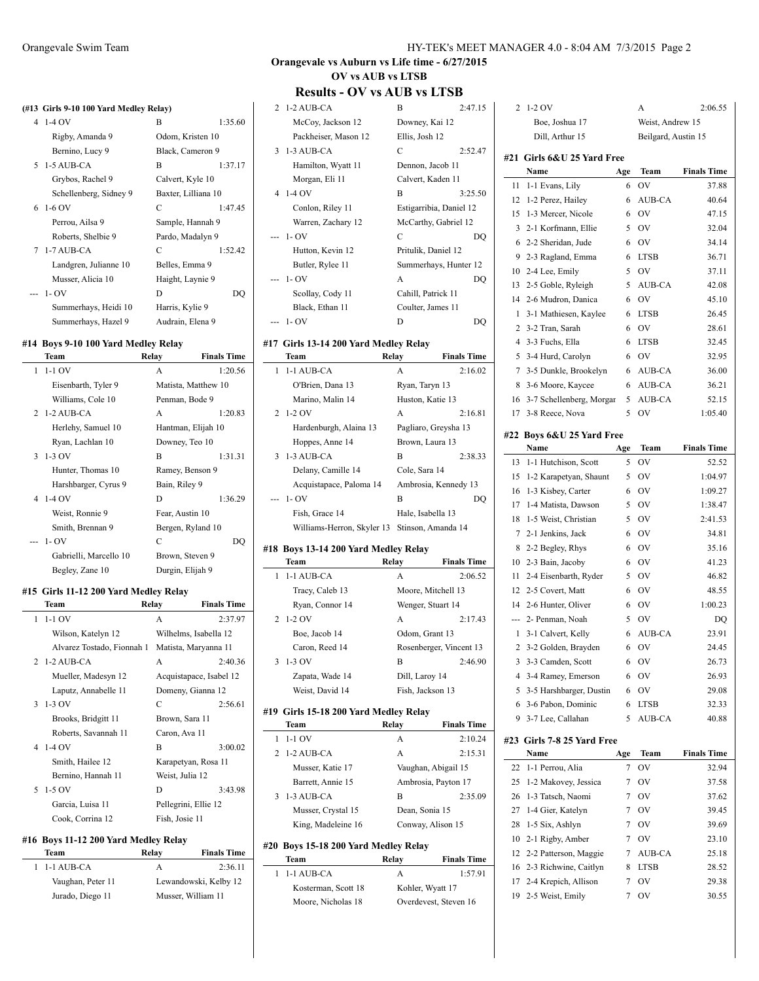#### **(#13 Girls 9-10 100 Yard Medley Relay)**

| $41-40V$               | B                   | 1:35.60 |
|------------------------|---------------------|---------|
| Rigby, Amanda 9        | Odom, Kristen 10    |         |
| Bernino, Lucy 9        | Black, Cameron 9    |         |
| $5-1-5$ AUB-CA         | B                   | 1:37.17 |
| Grybos, Rachel 9       | Calvert, Kyle 10    |         |
| Schellenberg, Sidney 9 | Baxter, Lilliana 10 |         |
| $6 - 1 - 6$ OV         | C                   | 1:47.45 |
| Perrou, Ailsa 9        | Sample, Hannah 9    |         |
| Roberts, Shelbie 9     | Pardo, Madalyn 9    |         |
| 7 1-7 AUB-CA           | C                   | 1:52.42 |
| Landgren, Julianne 10  | Belles, Emma 9      |         |
| Musser, Alicia 10      | Haight, Laynie 9    |         |
| $-1-OV$                | D                   | DО      |
| Summerhays, Heidi 10   | Harris, Kylie 9     |         |
| Summerhays, Hazel 9    | Audrain, Elena 9    |         |

#### **#14 Boys 9-10 100 Yard Medley Relay**

|   | Team                   | Relay            | <b>Finals Time</b>  |
|---|------------------------|------------------|---------------------|
| 1 | $1-1$ OV               | A                | 1:20.56             |
|   | Eisenbarth, Tyler 9    |                  | Matista, Matthew 10 |
|   | Williams, Cole 10      | Penman, Bode 9   |                     |
|   | 2 1-2 AUB-CA           | A                | 1:20.83             |
|   | Herlehy, Samuel 10     |                  | Hantman, Elijah 10  |
|   | Ryan, Lachlan 10       | Downey, Teo 10   |                     |
|   | $3 \t1-3$ OV           | B                | 1:31.31             |
|   | Hunter, Thomas 10      | Ramey, Benson 9  |                     |
|   | Harshbarger, Cyrus 9   | Bain, Riley 9    |                     |
|   | 4 1-4 OV               | D                | 1:36.29             |
|   | Weist, Ronnie 9        | Fear, Austin 10  |                     |
|   | Smith, Brennan 9       |                  | Bergen, Ryland 10   |
|   | $-1 - OV$              | C                | DO                  |
|   | Gabrielli, Marcello 10 | Brown, Steven 9  |                     |
|   | Begley, Zane 10        | Durgin, Elijah 9 |                     |

#### **#15 Girls 11-12 200 Yard Medley Relay**

| Team                       | Relay           | <b>Finals Time</b>      |
|----------------------------|-----------------|-------------------------|
| $1 - 1 - 1$ OV             | A               | 2:37.97                 |
| Wilson, Katelyn 12         |                 | Wilhelms, Isabella 12   |
| Alvarez Tostado, Fionnah 1 |                 | Matista, Maryanna 11    |
| $2$ 1-2 AUB-CA             | A               | 2:40.36                 |
| Mueller, Madesyn 12        |                 | Acquistapace, Isabel 12 |
| Laputz, Annabelle 11       |                 | Domeny, Gianna 12       |
| $3\;1-3\;0V$               | C               | 2:56.61                 |
| Brooks, Bridgitt 11        | Brown, Sara 11  |                         |
| Roberts, Savannah 11       | Caron, Ava 11   |                         |
| 4 1-4 OV                   | B               | 3:00.02                 |
| Smith, Hailee 12           |                 | Karapetyan, Rosa 11     |
| Bernino, Hannah 11         | Weist, Julia 12 |                         |
| 5 1-5 OV                   | D               | 3:43.98                 |
| Garcia, Luisa 11           |                 | Pellegrini, Ellie 12    |
| Cook, Corrina 12           | Fish, Josie 11  |                         |

#### **#16 Boys 11-12 200 Yard Medley Relay**

| Team              | Relav | <b>Finals Time</b>    |
|-------------------|-------|-----------------------|
| $1$ 1-1 AUB-CA    |       | 2:36.11               |
| Vaughan, Peter 11 |       | Lewandowski, Kelby 12 |
| Jurado, Diego 11  |       | Musser, William 11    |

## **Orangevale vs Auburn vs Life time - 6/27/2015 OV vs AUB vs LTSB**

| 11634165 - V T                                | <b>AS LEAD AS ELEM</b>                    |                    |                |                             |     |                     |                                  |
|-----------------------------------------------|-------------------------------------------|--------------------|----------------|-----------------------------|-----|---------------------|----------------------------------|
| 2 1-2 AUB-CA                                  | B                                         | 2:47.15            |                | 2 1-2 OV                    |     | А                   | 2:06.55                          |
| McCoy, Jackson 12                             | Downey, Kai 12                            |                    |                | Boe, Joshua 17              |     | Weist, Andrew 15    |                                  |
| Packheiser, Mason 12                          | Ellis, Josh 12                            |                    |                | Dill, Arthur 15             |     | Beilgard, Austin 15 |                                  |
| 3 1-3 AUB-CA                                  | С                                         | 2:52.47            |                |                             |     |                     |                                  |
| Hamilton, Wyatt 11                            | Dennon, Jacob 11                          |                    |                | #21 Girls 6&U 25 Yard Free  |     |                     |                                  |
| Morgan, Eli 11                                | Calvert, Kaden 11                         |                    |                | Name                        | Age | Team                | <b>Finals Time</b>               |
| 4 1-4 OV                                      | B                                         | 3:25.50            |                | 11 1-1 Evans, Lily          |     | 6 OV                | 37.88                            |
|                                               |                                           |                    |                | 12 1-2 Perez, Hailey        | 6   | AUB-CA              | 40.64                            |
| Conlon, Riley 11                              | Estigarribia, Daniel 12                   |                    |                | 15 1-3 Mercer, Nicole       | 6   | <b>OV</b>           | 47.15                            |
| Warren, Zachary 12                            | McCarthy, Gabriel 12                      |                    |                | 3 2-1 Korfmann, Ellie       | 5   | <b>OV</b>           | 32.04                            |
| $- - 1 - OV$                                  | C                                         | DQ                 |                | 6 2-2 Sheridan, Jude        | 6   | OV                  | 34.14                            |
| Hutton, Kevin 12                              | Pritulik, Daniel 12                       |                    |                | 9 2-3 Ragland, Emma         | 6   | <b>LTSB</b>         | 36.71                            |
| Butler, Rylee 11                              | Summerhays, Hunter 12                     |                    |                | 10 2-4 Lee, Emily           | 5   | <b>OV</b>           | 37.11                            |
| $- - 1 - OV$                                  | A                                         | DQ                 |                | 13 2-5 Goble, Ryleigh       | 5   | AUB-CA              | 42.08                            |
| Scollay, Cody 11                              | Cahill, Patrick 11                        |                    |                | 14 2-6 Mudron, Danica       | 6   | <b>OV</b>           | 45.10                            |
| Black, Ethan 11                               | Coulter, James 11                         |                    |                | 1 3-1 Mathiesen, Kaylee     |     | 6 LTSB              | 26.45                            |
| $-1-OV$                                       | D                                         | DQ                 |                |                             |     |                     |                                  |
|                                               |                                           |                    |                | 2 3-2 Tran, Sarah           | 6   | OV                  | 28.61                            |
| #17 Girls 13-14 200 Yard Medley Relay         |                                           |                    |                | 4 3-3 Fuchs, Ella           | 6   | LTSB                | 32.45                            |
| Team                                          | Relay                                     | <b>Finals Time</b> |                | 5 3-4 Hurd, Carolyn         | 6   | <b>OV</b>           | 32.95                            |
| 1 1-1 AUB-CA                                  | A                                         | 2:16.02            |                | 7 3-5 Dunkle, Brookelyn     |     | 6 AUB-CA            | 36.00                            |
| O'Brien, Dana 13                              | Ryan, Taryn 13                            |                    |                | 8 3-6 Moore, Kaycee         | 6   | AUB-CA              | 36.21                            |
| Marino, Malin 14                              | Huston, Katie 13                          |                    |                | 16 3-7 Schellenberg, Morgar | 5   | AUB-CA              | 52.15                            |
| 2 1-2 OV                                      | A                                         | 2:16.81            |                | 17 3-8 Reece, Nova          | 5   | <b>OV</b>           | 1:05.40                          |
| Hardenburgh, Alaina 13                        | Pagliaro, Greysha 13                      |                    |                |                             |     |                     |                                  |
| Hoppes, Anne 14                               | Brown, Laura 13                           |                    |                | #22 Boys 6&U 25 Yard Free   |     |                     |                                  |
| 3 1-3 AUB-CA                                  | B                                         | 2:38.33            |                | Name                        | Age | Team                | <b>Finals Time</b>               |
| Delany, Camille 14                            | Cole, Sara 14                             |                    |                | 13 1-1 Hutchison, Scott     | 5   | <b>OV</b>           | 52.52                            |
| Acquistapace, Paloma 14                       | Ambrosia, Kennedy 13                      |                    |                | 15 1-2 Karapetyan, Shaunt   |     | 5 OV                | 1:04.97                          |
| $-1-OV$                                       | B                                         | DQ                 |                | 16 1-3 Kisbey, Carter       | 6   | 0V                  | 1:09.27                          |
| Fish, Grace 14                                | Hale, Isabella 13                         |                    |                | 17 1-4 Matista, Dawson      |     | 5 OV                | 1:38.47                          |
|                                               |                                           |                    |                | 18 1-5 Weist, Christian     | 5   | OV                  | 2:41.53                          |
| Williams-Herron, Skyler 13 Stinson, Amanda 14 |                                           |                    |                | 7 2-1 Jenkins, Jack         | 6   | <b>OV</b>           | 34.81                            |
| #18 Boys 13-14 200 Yard Medley Relay          |                                           |                    |                | 8 2-2 Begley, Rhys          | 6   | OV                  | 35.16                            |
| Team                                          | Relay                                     | <b>Finals Time</b> |                | 10 2-3 Bain, Jacoby         | 6   | <b>OV</b>           | 41.23                            |
| 1 1-1 AUB-CA                                  | A                                         | 2:06.52            |                | 11 2-4 Eisenbarth, Ryder    | 5   | <b>OV</b>           | 46.82                            |
| Tracy, Caleb 13                               | Moore, Mitchell 13                        |                    |                | 12 2-5 Covert, Matt         | 6   | <b>OV</b>           | 48.55                            |
| Ryan, Connor 14                               | Wenger, Stuart 14                         |                    |                | 14 2-6 Hunter, Oliver       | 6   | <b>OV</b>           | 1:00.23                          |
| 2 1-2 OV                                      | A                                         | 2:17.43            |                | --- 2- Penman, Noah         | 5   | <b>OV</b>           | DQ                               |
| Boe, Jacob 14                                 | Odom, Grant 13                            |                    |                | 1 3-1 Calvert, Kelly        | 6   | AUB-CA              | 23.91                            |
| Caron, Reed 14                                |                                           |                    | $\overline{c}$ | 3-2 Golden, Brayden         | 6   | 0V                  | 24.45                            |
| $3\;1-3\;0V$                                  | Rosenberger, Vincent 13<br>B              | 2:46.90            |                |                             | 6   | OV                  |                                  |
|                                               |                                           |                    |                | 3 3-3 Camden, Scott         |     |                     | 26.73                            |
| Zapata, Wade 14                               | Dill, Laroy 14                            |                    |                | 4 3-4 Ramey, Emerson        | 6   | <b>OV</b>           | 26.93                            |
| Weist, David 14                               | Fish, Jackson 13                          |                    |                | 5 3-5 Harshbarger, Dustin   | 6   | <b>OV</b>           | 29.08                            |
| #19 Girls 15-18 200 Yard Medley Relay         |                                           |                    |                | 6 3-6 Pabon, Dominic        | 6   | LTSB                | 32.33                            |
| Team                                          | Relay                                     | <b>Finals Time</b> |                | 9 3-7 Lee, Callahan         |     | 5 AUB-CA            | 40.88                            |
| $1 - 1 - 1$ OV                                | A                                         | 2:10.24            |                | #23 Girls 7-8 25 Yard Free  |     |                     |                                  |
| 2 1-2 AUB-CA                                  | А                                         | 2:15.31            |                | Name                        | Age | Team                | <b>Finals Time</b>               |
| Musser, Katie 17                              | Vaughan, Abigail 15                       |                    |                | 22 1-1 Perrou, Alia         | 7   | OV                  | 32.94                            |
|                                               | Ambrosia, Payton 17                       |                    |                |                             |     |                     |                                  |
| Barrett, Annie 15                             |                                           |                    |                | 25 1-2 Makovey, Jessica     | 7   | OV                  | 37.58                            |
| 3 1-3 AUB-CA                                  | В                                         | 2:35.09            |                | 26 1-3 Tatsch, Naomi        | 7   | OV                  | 37.62                            |
|                                               | Dean, Sonia 15                            |                    |                | 27 1-4 Gier, Katelyn        | 7   | OV                  | 39.45                            |
| Musser, Crystal 15                            |                                           |                    |                | 28 1-5 Six, Ashlyn          | 7   | OV                  | 39.69                            |
| King, Madeleine 16                            | Conway, Alison 15                         |                    |                |                             |     |                     |                                  |
|                                               |                                           |                    |                | 10 2-1 Rigby, Amber         | 7   | OV                  |                                  |
| #20 Boys 15-18 200 Yard Medley Relay          |                                           |                    |                | 12 2-2 Patterson, Maggie    | 7   | AUB-CA              |                                  |
| Team                                          | Relay                                     | <b>Finals Time</b> |                | 16 2-3 Richwine, Caitlyn    | 8   | <b>LTSB</b>         |                                  |
| 1 1-1 AUB-CA                                  | A                                         | 1:57.91            |                | 17 2-4 Krepich, Allison     | 7   | <b>OV</b>           | 23.10<br>25.18<br>28.52<br>29.38 |
| Kosterman, Scott 18<br>Moore, Nicholas 18     | Kohler, Wyatt 17<br>Overdevest, Steven 16 |                    | 19             | 2-5 Weist, Emily            | 7   | 0V                  | 30.55                            |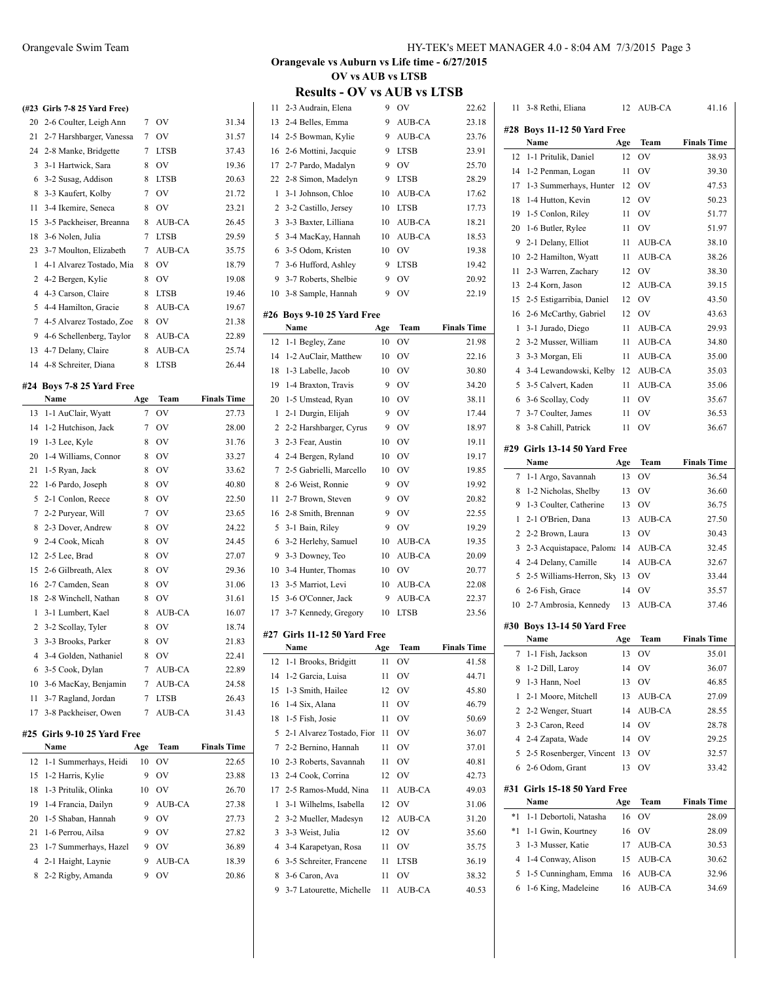|    | Name                         | Age | Team          | <b>Finals Time</b> |
|----|------------------------------|-----|---------------|--------------------|
|    | #24 Boys 7-8 25 Yard Free    |     |               |                    |
| 14 | 4-8 Schreiter, Diana         | 8   | <b>LTSB</b>   | 26.44              |
| 13 | 4-7 Delany, Claire           | 8   | <b>AUB-CA</b> | 25.74              |
| 9. | 4-6 Schellenberg, Taylor     | 8   | <b>AUB-CA</b> | 22.89              |
| 7  | 4-5 Alvarez Tostado, Zoe     | 8   | OV            | 21.38              |
| 5  | 4-4 Hamilton, Gracie         | 8   | AUB-CA        | 19.67              |
| 4  | 4-3 Carson, Claire           | 8   | <b>LTSB</b>   | 19.46              |
|    | 2 4-2 Bergen, Kylie          | 8   | OV            | 19.08              |
| 1  | 4-1 Alvarez Tostado, Mia     | 8   | OV            | 18.79              |
|    | 23 3-7 Moulton, Elizabeth    | 7   | <b>AUB-CA</b> | 35.75              |
| 18 | 3-6 Nolen, Julia             | 7   | <b>LTSB</b>   | 29.59              |
|    | 15 3-5 Packheiser, Breanna   | 8   | <b>AUB-CA</b> | 26.45              |
| 11 | 3-4 Ikemire, Seneca          | 8   | OV            | 23.21              |
| 8  | 3-3 Kaufert, Kolby           | 7   | OV            | 21.72              |
| 6  | 3-2 Susag, Addison           | 8   | <b>LTSB</b>   | 20.63              |
|    | 3 3-1 Hartwick, Sara         | 8   | OV            | 19.36              |
|    | 24 2-8 Manke, Bridgette      | 7   | <b>LTSB</b>   | 37.43              |
| 21 | 2-7 Harshbarger, Vanessa     | 7   | OV            | 31.57              |
|    | 20 2-6 Coulter, Leigh Ann    | 7   | OV            | 31.34              |
|    | (#23 Girls 7-8 25 Yard Free) |     |               |                    |

35.75 18.79  $19.08$ 19.46 19.67  $21.38$ 22.89

 $26.44$ 

|     | Name                    | Age | Team        | <b>Finals Time</b> |
|-----|-------------------------|-----|-------------|--------------------|
| 13  | 1-1 AuClair, Wyatt      | 7   | OV          | 27.73              |
| 14  | 1-2 Hutchison, Jack     | 7   | OV          | 28.00              |
| 19  | 1-3 Lee, Kyle           | 8   | OV          | 31.76              |
| 20  | 1-4 Williams, Connor    | 8   | OV          | 33.27              |
| 21  | 1-5 Ryan, Jack          | 8   | OV          | 33.62              |
| 22  | 1-6 Pardo, Joseph       | 8   | OV          | 40.80              |
| 5   | 2-1 Conlon, Reece       | 8   | OV          | 22.50              |
| 7   | 2-2 Puryear, Will       | 7   | OV          | 23.65              |
| 8   | 2-3 Dover, Andrew       | 8   | OV          | 24.22              |
| 9   | 2-4 Cook, Micah         | 8   | OV          | 24.45              |
| 12  | 2-5 Lee, Brad           | 8   | OV          | 27.07              |
| 15  | 2-6 Gilbreath, Alex     | 8   | OV          | 29.36              |
| 16  | 2-7 Camden, Sean        | 8   | OV          | 31.06              |
| 18  | 2-8 Winchell, Nathan    | 8   | OV          | 31.61              |
| 1   | 3-1 Lumbert, Kael       | 8   | AUB-CA      | 16.07              |
| 2   | 3-2 Scollay, Tyler      | 8   | OV          | 18.74              |
| 3   | 3-3 Brooks, Parker      | 8   | OV          | 21.83              |
| 4   | 3-4 Golden, Nathaniel   | 8   | OV          | 22.41              |
| 6   | 3-5 Cook, Dylan         | 7   | AUB-CA      | 22.89              |
| 10  | 3-6 MacKay, Benjamin    | 7   | AUB-CA      | 24.58              |
| 11  | 3-7 Ragland, Jordan     | 7   | <b>LTSB</b> | 26.43              |
| 17  | 3-8 Packheiser, Owen    | 7   | AUB-CA      | 31.43              |
| #25 | Girls 9-10 25 Yard Free |     |             |                    |
|     | Name                    | Age | Team        | <b>Finals Time</b> |
| 12  | 1-1 Summerhays, Heidi   | 10  | OV          | 22.65              |
| 15  | 1-2 Harris, Kylie       | 9   | OV          | 23.88              |
| 18  | 1-3 Pritulik, Olinka    | 10  | OV          | 26.70              |
| 19  | 1-4 Francia, Dailyn     | 9   | AUB-CA      | 27.38              |
| 20  | 1-5 Shaban, Hannah      | 9   | OV          | 27.73              |
| 21  | 1-6 Perrou, Ailsa       | 9   | OV          | 27.82              |
| 23  | 1-7 Summerhays, Hazel   | 9   | OV          | 36.89              |
|     |                         |     |             |                    |

 2-1 Haight, Laynie 9 AUB-CA 18.39 2-2 Rigby, Amanda 9 OV 20.86

## **Orangevale vs Auburn vs Life time - 6/27/2015 OV vs AUB vs LTSB**

| 11             | 2-3 Audrain, Elena           | 9   | OV            | 22.62              |
|----------------|------------------------------|-----|---------------|--------------------|
| 13             | 2-4 Belles, Emma             | 9   | <b>AUB-CA</b> | 23.18              |
| 14             | 2-5 Bowman, Kylie            | 9   | AUB-CA        | 23.76              |
| 16             | 2-6 Mottini, Jacquie         | 9   | <b>LTSB</b>   | 23.91              |
| 17             | 2-7 Pardo, Madalyn           | 9   | OV            | 25.70              |
| 22             | 2-8 Simon, Madelyn           | 9   | <b>LTSB</b>   | 28.29              |
| 1              | 3-1 Johnson, Chloe           | 10  | <b>AUB-CA</b> | 17.62              |
| 2              | 3-2 Castillo, Jersey         | 10  | <b>LTSB</b>   | 17.73              |
| 3              | 3-3 Baxter, Lilliana         | 10  | AUB-CA        | 18.21              |
| 5              | 3-4 MacKay, Hannah           | 10  | AUB-CA        | 18.53              |
| 6              | 3-5 Odom, Kristen            | 10  | OV            | 19.38              |
| 7              | 3-6 Hufford, Ashley          | 9   | <b>LTSB</b>   | 19.42              |
| 9              | 3-7 Roberts, Shelbie         | 9   | OV            | 20.92              |
| 10             | 3-8 Sample, Hannah           | 9   | OV            | 22.19              |
|                |                              |     |               |                    |
|                | #26 Boys 9-10 25 Yard Free   |     |               |                    |
|                | Name                         | Age | Team          | <b>Finals Time</b> |
| 12             | 1-1 Begley, Zane             | 10  | OV            | 21.98              |
| 14             | 1-2 AuClair, Matthew         | 10  | OV            | 22.16              |
| 18             | 1-3 Labelle, Jacob           | 10  | OV            | 30.80              |
| 19             | 1-4 Braxton, Travis          | 9   | OV            | 34.20              |
| 20             | 1-5 Umstead, Ryan            | 10  | OV            | 38.11              |
| 1              | 2-1 Durgin, Elijah           | 9   | OV            | 17.44              |
| 2              | 2-2 Harshbarger, Cyrus       | 9   | OV            | 18.97              |
| 3              | 2-3 Fear, Austin             | 10  | OV            | 19.11              |
| $\overline{4}$ | 2-4 Bergen, Ryland           | 10  | OV            | 19.17              |
| 7              | 2-5 Gabrielli, Marcello      | 10  | OV            | 19.85              |
| 8              | 2-6 Weist, Ronnie            | 9   | OV            | 19.92              |
| 11             | 2-7 Brown, Steven            | 9   | OV            | 20.82              |
| 16             | 2-8 Smith, Brennan           | 9   | OV            | 22.55              |
| 5              | 3-1 Bain, Riley              | 9   | OV            | 19.29              |
| 6              | 3-2 Herlehy, Samuel          | 10  | AUB-CA        | 19.35              |
| 9              | 3-3 Downey, Teo              | 10  | AUB-CA        | 20.09              |
| 10             | 3-4 Hunter, Thomas           | 10  | OV            | 20.77              |
| 13             | 3-5 Marriot, Levi            | 10  | AUB-CA        | 22.08              |
| 15             | 3-6 O'Conner, Jack           | 9   | AUB-CA        | 22.37              |
| 17             | 3-7 Kennedy, Gregory         | 10  | <b>LTSB</b>   | 23.56              |
|                | #27 Girls 11-12 50 Yard Free |     |               |                    |
|                | Name                         | Age | Team          | <b>Finals Time</b> |
| 12             | 1-1 Brooks, Bridgitt         | 11  | OV            | 41.58              |
| 14             | 1-2 Garcia, Luisa            | 11  | OV            | 44.71              |
| 15             | 1-3 Smith, Hailee            | 12  | OV            | 45.80              |
| 16             | 1-4 Six, Alana               | 11  | OV            | 46.79              |
| 18             | 1-5 Fish, Josie              | 11  | OV            | 50.69              |
| 5              | 2-1 Alvarez Tostado, Fior    | 11  | OV            | 36.07              |
| $\tau$         | 2-2 Bernino, Hannah          | 11  | OV            | 37.01              |
| 10             | 2-3 Roberts, Savannah        | 11  | OV            | 40.81              |
| 13             | 2-4 Cook, Corrina            | 12  | OV            | 42.73              |
| 17             | 2-5 Ramos-Mudd, Nina         | 11  | AUB-CA        | 49.03              |
| 1              | 3-1 Wilhelms, Isabella       | 12  | OV            | 31.06              |
| 2              | 3-2 Mueller, Madesyn         | 12  | AUB-CA        | 31.20              |
| 3              | 3-3 Weist, Julia             | 12  | OV            | 35.60              |
| 4              | 3-4 Karapetyan, Rosa         | 11  | OV            | 35.75              |
| 6              | 3-5 Schreiter, Francene      | 11  | LTSB          | 36.19              |
| 8              | 3-6 Caron, Ava               | 11  | OV            | 38.32              |
| 9              | 3-7 Latourette, Michelle     | 11  | AUB-CA        | 40.53              |

| 11     | 3-8 Rethi, Eliana            | 12       | AUB-CA        | 41.16              |  |  |
|--------|------------------------------|----------|---------------|--------------------|--|--|
| #28    | Bovs 11-12 50 Yard Free      |          |               |                    |  |  |
|        | Name                         | Age      | Team          | <b>Finals Time</b> |  |  |
| 12     | 1-1 Pritulik, Daniel         | 12       | ov            | 38.93              |  |  |
| 14     | 1-2 Penman, Logan            | 11       | OV            | 39.30              |  |  |
| 17     | 1-3 Summerhays, Hunter       | 12       | OV            | 47.53              |  |  |
| 18     | 1-4 Hutton, Kevin            | 12       | <b>OV</b>     | 50.23              |  |  |
| 19     | 1-5 Conlon, Riley            | 11       | OV            | 51.77              |  |  |
| 20     | 1-6 Butler, Rylee            | 11       | OV            | 51.97              |  |  |
| 9      | 2-1 Delany, Elliot           | 11       | AUB-CA        | 38.10              |  |  |
| 10     | 2-2 Hamilton, Wyatt          | 11       | AUB-CA        | 38.26              |  |  |
| 11     | 2-3 Warren, Zachary          | 12       | OV            | 38.30              |  |  |
| 13     | 2-4 Korn. Jason              | 12       | <b>AUB-CA</b> | 39.15              |  |  |
| 15     | 2-5 Estigarribia, Daniel     | 12       | OV            | 43.50              |  |  |
| 16     | 2-6 McCarthy, Gabriel        | 12       | OV            | 43.63              |  |  |
| 1      | 3-1 Jurado, Diego            | 11       | AUB-CA        | 29.93              |  |  |
| 2      | 3-2 Musser, William          | 11       | AUB-CA        | 34.80              |  |  |
| 3      | 3-3 Morgan, Eli              | 11       | AUB-CA        | 35.00              |  |  |
| 4      | 3-4 Lewandowski, Kelby       | 12       | AUB-CA        | 35.03              |  |  |
| 5      | 3-5 Calvert, Kaden           | 11       | AUB-CA        | 35.06              |  |  |
| 6      | 3-6 Scollay, Cody            | 11       | OV            | 35.67              |  |  |
| 7      | 3-7 Coulter, James           | 11       | OV            | 36.53              |  |  |
| 8      | 3-8 Cahill, Patrick          | 11       | OV            | 36.67              |  |  |
|        |                              |          |               |                    |  |  |
|        | #29 Girls 13-14 50 Yard Free |          |               |                    |  |  |
|        | Name                         | Age      | Team          | <b>Finals Time</b> |  |  |
| 7      | 1-1 Argo, Savannah           | 13       | OV            | 36.54              |  |  |
| 8      | 1-2 Nicholas, Shelby         | 13       | <b>OV</b>     | 36.60              |  |  |
| 9      | 1-3 Coulter, Catherine       | 13       | <b>OV</b>     | 36.75              |  |  |
| 1      | 2-1 O'Brien, Dana            | 13       | AUB-CA        | 27.50              |  |  |
| 2      | 2-2 Brown, Laura             | 13       | OV            | 30.43              |  |  |
| 3      | 2-3 Acquistapace, Paloma     | 14       | AUB-CA        | 32.45              |  |  |
| 4<br>5 | 2-4 Delany, Camille          | 14       | AUB-CA        | 32.67              |  |  |
|        | 2-5 Williams-Herron, Sky     | 13<br>14 | OV<br>OV      | 33.44<br>35.57     |  |  |
| 6      | 2-6 Fish, Grace              |          |               |                    |  |  |
|        | 10 2-7 Ambrosia, Kennedy     | 13       | AUB-CA        | 37.46              |  |  |
|        | #30 Boys 13-14 50 Yard Free  |          |               |                    |  |  |
|        | Name                         | Age      | Team          | <b>Finals Time</b> |  |  |
| 7      | 1-1 Fish, Jackson            | 13       | ov            | 35.01              |  |  |
| 8      | 1-2 Dill, Laroy              | 14       | OV            | 36.07              |  |  |
| 9      | 1-3 Hann, Noel               | 13       | OV            | 46.85              |  |  |
| 1      | 2-1 Moore, Mitchell          | 13       | AUB-CA        | 27.09              |  |  |
| 2      | 2-2 Wenger, Stuart           | 14       | AUB-CA        | 28.55              |  |  |
| 3      | 2-3 Caron, Reed              | 14       | OV            | 28.78              |  |  |
| 4      | 2-4 Zapata, Wade             | 14       | OV            | 29.25              |  |  |
| 5      | 2-5 Rosenberger, Vincent     | 13       | OV            | 32.57              |  |  |
| 6      | 2-6 Odom, Grant              | 13       | ov            | 33.42              |  |  |
| #31    | Girls 15-18 50 Yard Free     |          |               |                    |  |  |
|        | Name                         | Age      | Team          | <b>Finals Time</b> |  |  |
| $*1$   | 1-1 Debortoli, Natasha       | 16       | OV            | 28.09              |  |  |
| *1     | 1-1 Gwin, Kourtney           | 16       | OV            | 28.09              |  |  |
| 3      | 1-3 Musser, Katie            | 17       | AUB-CA        | 30.53              |  |  |
| 4      | 1-4 Conway, Alison           | 15       | AUB-CA        | 30.62              |  |  |
| 5      | 1-5 Cunningham, Emma         | 16       | AUB-CA        | 32.96              |  |  |
| 6      | 1-6 King, Madeleine          | 16       | AUB-CA        | 34.69              |  |  |
|        |                              |          |               |                    |  |  |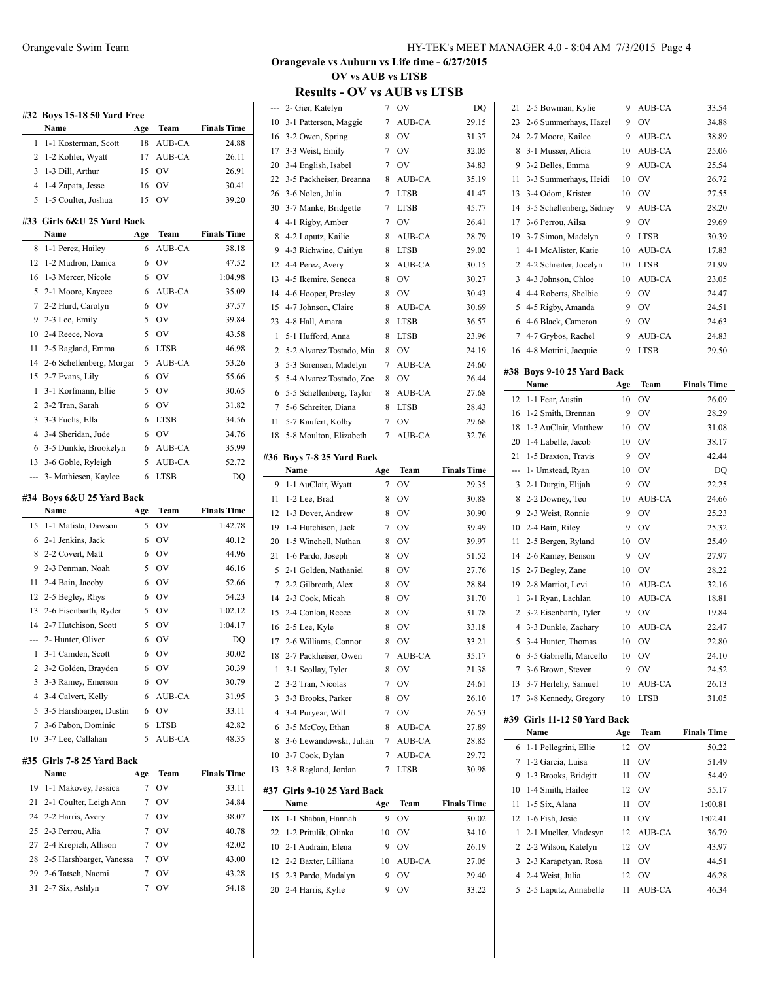|          | #32 Boys 15-18 50 Yard Free<br>Name  |           | Team          | <b>Finals Time</b> |
|----------|--------------------------------------|-----------|---------------|--------------------|
| 1        | 1-1 Kosterman, Scott                 | Age<br>18 | <b>AUB-CA</b> | 24.88              |
| 2        | 1-2 Kohler, Wyatt                    | 17        |               |                    |
| 3        | 1-3 Dill, Arthur                     | 15        | AUB-CA<br>OV  | 26.11<br>26.91     |
| 4        |                                      | 16        | OV            |                    |
| 5        | 1-4 Zapata, Jesse                    |           | OV            | 30.41              |
|          | 1-5 Coulter, Joshua                  | 15        |               | 39.20              |
|          | #33 Girls 6&U 25 Yard Back<br>Name   | Age       | Team          | <b>Finals Time</b> |
| 8        | 1-1 Perez, Hailey                    | 6         | AUB-CA        | 38.18              |
| 12       | 1-2 Mudron, Danica                   | 6         | <b>OV</b>     | 47.52              |
| 16       | 1-3 Mercer, Nicole                   | 6         | <b>OV</b>     | 1:04.98            |
| 5        | 2-1 Moore, Kaycee                    | 6         | AUB-CA        | 35.09              |
| 7        | 2-2 Hurd, Carolyn                    | 6         | <b>OV</b>     | 37.57              |
| 9        | 2-3 Lee, Emily                       | 5         | OV            | 39.84              |
| 10       | 2-4 Reece, Nova                      | 5         | <b>OV</b>     | 43.58              |
| 11       | 2-5 Ragland, Emma                    | 6         | <b>LTSB</b>   | 46.98              |
| 14       | 2-6 Schellenberg, Morgar             | 5         | AUB-CA        | 53.26              |
| 15       | 2-7 Evans, Lily                      | 6         | OV            | 55.66              |
| 1        | 3-1 Korfmann, Ellie                  | 5         | OV            | 30.65              |
| 2        | 3-2 Tran, Sarah                      | 6         | <b>OV</b>     | 31.82              |
| 3        | 3-3 Fuchs, Ella                      | 6         | <b>LTSB</b>   | 34.56              |
| 4        | 3-4 Sheridan, Jude                   | 6         | <b>OV</b>     | 34.76              |
| 6        | 3-5 Dunkle, Brookelyn                | 6         | AUB-CA        | 35.99              |
| 13       | 3-6 Goble, Ryleigh                   | 5         | AUB-CA        | 52.72              |
| ---      | 3- Mathiesen, Kaylee                 | 6         | <b>LTSB</b>   | DQ                 |
| #34      | Boys 6&U 25 Yard Back                |           |               |                    |
|          | Name                                 | Age       | Team          | <b>Finals Time</b> |
|          |                                      |           |               |                    |
|          |                                      | 5         |               |                    |
| 15       | 1-1 Matista, Dawson                  | 6         | OV            | 1:42.78            |
| 6        | 2-1 Jenkins, Jack                    | 6         | <b>OV</b>     | 40.12              |
| 8        | 2-2 Covert, Matt                     |           | <b>OV</b>     | 44.96              |
| 9        | 2-3 Penman, Noah                     | 5         | <b>OV</b>     | 46.16              |
| 11       | 2-4 Bain, Jacoby                     | 6         | <b>OV</b>     | 52.66              |
| 12       | 2-5 Begley, Rhys                     | 6         | OV            | 54.23              |
| 13       | 2-6 Eisenbarth, Ryder                | 5         | <b>OV</b>     | 1:02.12            |
| 14       | 2-7 Hutchison, Scott                 | 5         | <b>OV</b>     | 1:04.17            |
| ---      | 2- Hunter, Oliver                    | 6         | ov            | DQ                 |
| 1        | 3-1 Camden, Scott                    | 6         | OV            | 30.02              |
| 2        | 3-2 Golden, Brayden                  | 6         | OV            | 30.39              |
| 3        | 3-3 Ramey, Emerson                   | 6         | OV            | 30.79              |
| 4        | 3-4 Calvert, Kelly                   | 6         | AUB-CA        | 31.95              |
| 5        | 3-5 Harshbarger, Dustin              | 6         | OV            | 33.11              |
| 7        | 3-6 Pabon, Dominic                   | 6         | <b>LTSB</b>   | 42.82              |
| 10       | 3-7 Lee, Callahan                    | 5         | AUB-CA        | 48.35              |
| #35      | Girls 7-8 25 Yard Back               |           |               |                    |
|          | Name                                 | Age       | Team          | <b>Finals Time</b> |
| 19       | 1-1 Makovey, Jessica                 | 7         | OV            | 33.11              |
| 21       | 2-1 Coulter, Leigh Ann               | 7         | OV            | 34.84              |
| 24       | 2-2 Harris, Avery                    | 7         | OV            | 38.07              |
| 25       | 2-3 Perrou, Alia                     | 7         | OV            | 40.78              |
| 27       | 2-4 Krepich, Allison                 | 7         | OV            | 42.02              |
| 28       | 2-5 Harshbarger, Vanessa             | 7         | OV            | 43.00              |
| 29<br>31 | 2-6 Tatsch, Naomi<br>2-7 Six, Ashlyn | 7<br>7    | OV<br>OV      | 43.28<br>54.18     |

## **Orangevale vs Auburn vs Life time - 6/27/2015 OV vs AUB vs LTSB**

## **Results - OV vs AUB vs LTSB**

| --- | 2- Gier, Katelyn         | 7   | OV                            | DO                 |
|-----|--------------------------|-----|-------------------------------|--------------------|
| 10  | 3-1 Patterson, Maggie    | 7   | AUB-CA                        | 29.15              |
| 16  | 3-2 Owen, Spring         | 8   | OV                            | 31.37              |
| 17  | 3-3 Weist, Emily         | 7   | OV                            | 32.05              |
| 20  | 3-4 English, Isabel      | 7   | OV                            | 34.83              |
| 22  | 3-5 Packheiser, Breanna  | 8   | AUB-CA                        | 35.19              |
| 26  | 3-6 Nolen, Julia         | 7   | <b>LTSB</b>                   | 41.47              |
| 30  | 3-7 Manke, Bridgette     | 7   | <b>LTSB</b>                   | 45.77              |
| 4   | 4-1 Rigby, Amber         | 7   | OV                            | 26.41              |
| 8   | 4-2 Laputz, Kailie       | 8   | AUB-CA                        | 28.79              |
| 9   | 4-3 Richwine, Caitlyn    | 8   | <b>LTSB</b>                   | 29.02              |
| 12  | 4-4 Perez, Avery         | 8   | AUB-CA                        | 30.15              |
| 13  | 4-5 Ikemire, Seneca      | 8   | OV                            | 30.27              |
| 14  | 4-6 Hooper, Presley      | 8   | OV                            | 30.43              |
| 15  | 4-7 Johnson, Claire      | 8   | AUB-CA                        | 30.69              |
| 23  | 4-8 Hall, Amara          | 8   | <b>LTSB</b>                   | 36.57              |
| 1   | 5-1 Hufford, Anna        | 8   | <b>LTSB</b>                   | 23.96              |
| 2   | 5-2 Alvarez Tostado, Mia | 8   | OV                            | 24.19              |
| 3   | 5-3 Sorensen, Madelyn    | 7   | AUB-CA                        | 24.60              |
| 5   | 5-4 Alvarez Tostado, Zoe | 8   | OV                            | 26.44              |
| 6   | 5-5 Schellenberg, Taylor | 8   | AUB-CA                        | 27.68              |
| 7   | 5-6 Schreiter, Diana     | 8   | <b>LTSB</b>                   | 28.43              |
| 11  | 5-7 Kaufert, Kolby       | 7   | OV                            | 29.68              |
| 18  | 5-8 Moulton, Elizabeth   | 7   | AUB-CA                        | 32.76              |
|     |                          |     |                               |                    |
| #36 | Boys 7-8 25 Yard Back    |     |                               |                    |
|     | Name                     | Age | Team                          | <b>Finals Time</b> |
| 9   | 1-1 AuClair, Wyatt       | 7   | OV                            | 29.35              |
| 11  | 1-2 Lee, Brad            | 8   | OV                            | 30.88              |
| 12  | 1-3 Dover, Andrew        | 8   | OV                            | 30.90              |
| 19  | 1-4 Hutchison, Jack      | 7   | OV                            | 39.49              |
| 20  | 1-5 Winchell, Nathan     | 8   | OV                            | 39.97              |
| 21  | 1-6 Pardo, Joseph        | 8   | OV                            | 51.52              |
| 5   | 2-1 Golden, Nathaniel    | 8   | OV                            | 27.76              |
| 7   | 2-2 Gilbreath, Alex      | 8   | OV                            | 28.84              |
| 14  | 2-3 Cook, Micah          | 8   | OV                            | 31.70              |
| 15  | 2-4 Conlon, Reece        | 8   | OV                            | 31.78              |
| 16  | 2-5 Lee, Kyle            | 8   | OV                            | 33.18              |
| 17  | 2-6 Williams, Connor     | 8   | OV                            | 33.21              |
| 18  | 2-7 Packheiser, Owen     | 7   | AUB-CA                        | 35.17              |
| 1   | 3-1 Scollay, Tyler       | 8   | OV                            | 21.38              |
| 2   | 3-2 Tran, Nicolas        | 7   | OV                            | 24.61              |
| 3   | 3-3 Brooks, Parker       | 8   | OV                            | 26.10              |
| 4   | 3-4 Puryear, Will        | 7   | OV                            | 26.53              |
| 6   | 3-5 McCoy, Ethan         | 8   | AUB-CA                        | 27.89              |
| 8   | 3-6 Lewandowski, Julian  | 7   | AUB-CA                        | 28.85              |
| 10  | 3-7 Cook, Dylan          | 7   | AUB-CA                        | 29.72              |
| 13  | 3-8 Ragland, Jordan      | 7   | LTSB                          | 30.98              |
| #37 | Girls 9-10 25 Yard Back  |     |                               |                    |
|     | Name                     | Age | Team                          | <b>Finals Time</b> |
| 18  | 1-1 Shaban, Hannah       | 9   | $\overline{\text{O}}\text{V}$ | 30.02              |
| 22  | 1-2 Pritulik, Olinka     | 10  | OV                            | 34.10              |
| 10  | 2-1 Audrain, Elena       | 9   | OV                            | 26.19              |
| 12  | 2-2 Baxter, Lilliana     | 10  | AUB-CA                        | 27.05              |
| 15  | 2-3 Pardo, Madalyn       | 9   | OV                            | 29.40              |
| 20  | 2-4 Harris, Kylie        | 9   | OV                            | 33.22              |
|     |                          |     |                               |                    |

 $\sim$ 

 $\sim$ 

| 21             | 2-5 Bowman, Kylie                          | 9        | AUB-CA         | 33.54              |
|----------------|--------------------------------------------|----------|----------------|--------------------|
| 23             | 2-6 Summerhays, Hazel                      | 9        | OV             | 34.88              |
| 24             | 2-7 Moore, Kailee                          | 9        | AUB-CA         | 38.89              |
| 8              | 3-1 Musser, Alicia                         | 10       | AUB-CA         | 25.06              |
| 9              | 3-2 Belles, Emma                           | 9        | AUB-CA         | 25.54              |
| 11             | 3-3 Summerhays, Heidi                      | 10       | O <sub>V</sub> | 26.72              |
| 13             | 3-4 Odom, Kristen                          | 10       | OV             | 27.55              |
| 14             | 3-5 Schellenberg, Sidney                   | 9        | AUB-CA         | 28.20              |
| 17             | 3-6 Perrou, Ailsa                          | 9        | OV             | 29.69              |
| 19             | 3-7 Simon, Madelyn                         | 9        | <b>LTSB</b>    | 30.39              |
| 1              | 4-1 McAlister, Katie                       | 10       | AUB-CA         | 17.83              |
| 2              | 4-2 Schreiter, Jocelyn                     | 10       | <b>LTSB</b>    | 21.99              |
| 3              | 4-3 Johnson, Chloe                         | 10       | AUB-CA         | 23.05              |
| $\overline{4}$ | 4-4 Roberts, Shelbie                       | 9        | OV             | 24.47              |
| 5              | 4-5 Rigby, Amanda                          | 9        | OV             | 24.51              |
| 6              | 4-6 Black, Cameron                         | 9        | OV             | 24.63              |
| 7              | 4-7 Grybos, Rachel                         | 9        | AUB-CA         | 24.83              |
|                | 16 4-8 Mottini, Jacquie                    | 9        | LTSB           | 29.50              |
|                |                                            |          |                |                    |
|                | #38 Boys 9-10 25 Yard Back<br>Name         | Age      | Team           | <b>Finals Time</b> |
| 12             | 1-1 Fear, Austin                           | 10       | OV             | 26.09              |
| 16             | 1-2 Smith, Brennan                         | 9        | OV             | 28.29              |
| 18             | 1-3 AuClair, Matthew                       | 10       | OV             | 31.08              |
| 20             | 1-4 Labelle, Jacob                         | 10       | OV             | 38.17              |
| 21             | 1-5 Braxton, Travis                        | 9        | OV             | 42.44              |
| ---            | 1- Umstead, Ryan                           | 10       | OV             | DQ                 |
| 3              | 2-1 Durgin, Elijah                         | 9        | OV             | 22.25              |
| 8              | 2-2 Downey, Teo                            | 10       | AUB-CA         | 24.66              |
| 9              | 2-3 Weist, Ronnie                          | 9        | OV             | 25.23              |
| 10             | 2-4 Bain, Riley                            | 9        | OV             | 25.32              |
| 11             | 2-5 Bergen, Ryland                         | 10       | <b>OV</b>      | 25.49              |
| 14             | 2-6 Ramey, Benson                          | 9        | OV             | 27.97              |
| 15             | 2-7 Begley, Zane                           | 10       | <b>OV</b>      | 28.22              |
| 19             | 2-8 Marriot, Levi                          | 10       | AUB-CA         | 32.16              |
| 1              | 3-1 Ryan, Lachlan                          | 10       | AUB-CA         | 18.81              |
| 2              | 3-2 Eisenbarth, Tyler                      | 9        | OV             | 19.84              |
| 4              | 3-3 Dunkle, Zachary                        | 10       | AUB-CA         | 22.47              |
| 5              | 3-4 Hunter, Thomas                         | 10       | OV             | 22.80              |
| 6              | 3-5 Gabrielli, Marcello                    | 10       | ov             | 24.10              |
| 7              | 3-6 Brown, Steven                          | 9        | OV             | 24.52              |
| 13             | 3-7 Herlehy, Samuel                        | 10       | AUB-CA         | 26.13              |
| 17             | 3-8 Kennedy, Gregory                       | 10       | LTSB           | 31.05              |
|                |                                            |          |                |                    |
|                | #39 Girls 11-12 50 Yard Back               |          |                |                    |
|                | Name                                       | Age      | Team           | <b>Finals Time</b> |
| 6<br>7         | 1-1 Pellegrini, Ellie<br>1-2 Garcia, Luisa | 12<br>11 | OV<br>OV       | 50.22<br>51.49     |
| 9              | 1-3 Brooks, Bridgitt                       | 11       | OV             | 54.49              |
| 10             | 1-4 Smith, Hailee                          | 12       | OV             | 55.17              |
| 11             | 1-5 Six, Alana                             | 11       | OV             | 1:00.81            |
| 12             | 1-6 Fish, Josie                            | 11       | OV             | 1:02.41            |
| 1              | 2-1 Mueller, Madesyn                       | 12       | AUB-CA         | 36.79              |
| 2              | 2-2 Wilson, Katelyn                        | 12       | OV             | 43.97              |
| 3              | 2-3 Karapetyan, Rosa                       | 11       | OV             | 44.51              |
| 4              | 2-4 Weist, Julia                           | 12       | OV             | 46.28              |
| 5              | 2-5 Laputz, Annabelle                      | 11       | AUB-CA         | 46.34              |
|                |                                            |          |                |                    |
|                |                                            |          |                |                    |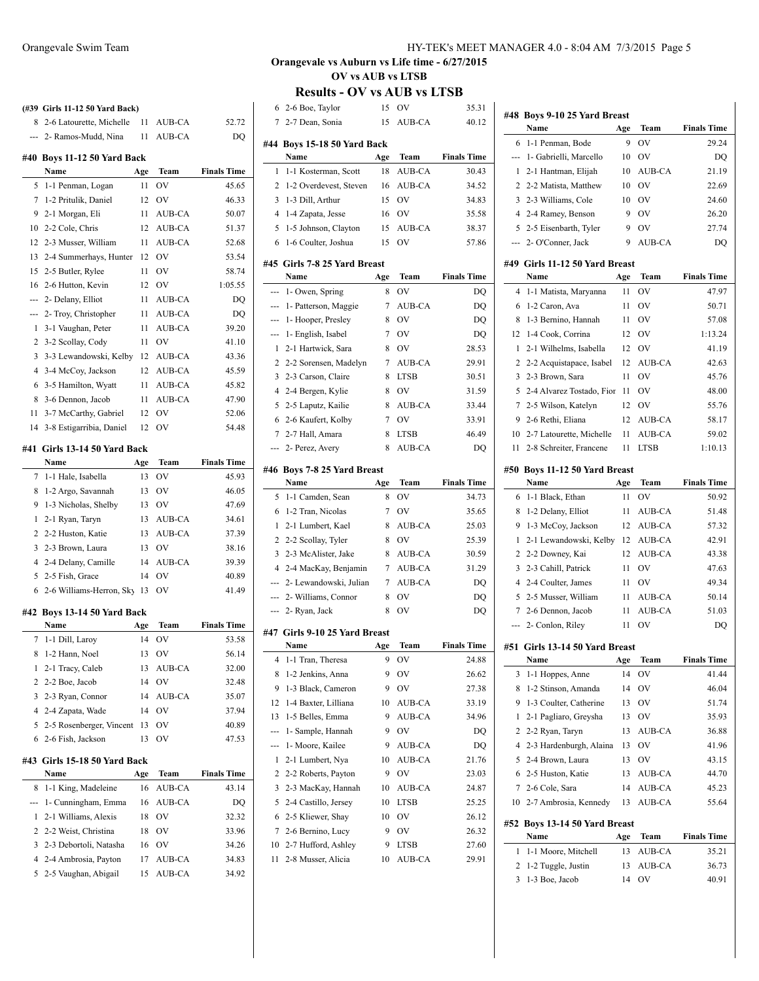|     | (#39 Girls 11-12 50 Yard Back)      |     |               |                    |
|-----|-------------------------------------|-----|---------------|--------------------|
| 8   | 2-6 Latourette, Michelle            | 11  | AUB-CA        | 52.72              |
| --- | 2- Ramos-Mudd, Nina                 | 11  | AUB-CA        | DQ                 |
|     | #40 Boys 11-12 50 Yard Back         |     |               |                    |
|     | Name                                | Age | Team          | <b>Finals Time</b> |
| 5   | 1-1 Penman, Logan                   | 11  | OV            | 45.65              |
| 7   | 1-2 Pritulik, Daniel                | 12  | OV            | 46.33              |
| 9   | 2-1 Morgan, Eli                     | 11  | <b>AUB-CA</b> | 50.07              |
| 10  | 2-2 Cole, Chris                     | 12  | AUB-CA        | 51.37              |
| 12  | 2-3 Musser, William                 | 11  | <b>AUB-CA</b> | 52.68              |
| 13  | 2-4 Summerhays, Hunter              | 12  | OV            | 53.54              |
| 15  | 2-5 Butler, Rylee                   | 11  | OV            | 58.74              |
| 16  | 2-6 Hutton, Kevin                   | 12  | OV            | 1:05.55            |
| --- | 2- Delany, Elliot                   | 11  | AUB-CA        | DQ                 |
| --- | 2- Troy, Christopher                | 11  | AUB-CA        | DQ                 |
| 1   | 3-1 Vaughan, Peter                  | 11  | AUB-CA        | 39.20              |
| 2   | 3-2 Scollay, Cody                   | 11  | OV            | 41.10              |
| 3   | 3-3 Lewandowski, Kelby              | 12  | AUB-CA        | 43.36              |
| 4   | 3-4 McCoy, Jackson                  | 12  | AUB-CA        | 45.59              |
| 6   | 3-5 Hamilton, Wyatt                 | 11  | AUB-CA        | 45.82              |
| 8   | 3-6 Dennon, Jacob                   | 11  | AUB-CA        | 47.90              |
| 11  | 3-7 McCarthy, Gabriel               | 12  | OV            | 52.06              |
| 14  | 3-8 Estigarribia, Daniel            | 12  | OV            | 54.48              |
| #41 | Girls 13-14 50 Yard Back            |     |               |                    |
|     | Name                                | Age | Team          | <b>Finals Time</b> |
| 7   | 1-1 Hale, Isabella                  | 13  | OV            | 45.93              |
| 8   | 1-2 Argo, Savannah                  | 13  | OV            | 46.05              |
| 9   | 1-3 Nicholas, Shelby                | 13  | OV            | 47.69              |
| 1   | 2-1 Ryan, Taryn                     | 13  | AUB-CA        | 34.61              |
| 2   | 2-2 Huston, Katie                   | 13  | AUB-CA        | 37.39              |
| 3   | 2-3 Brown, Laura                    | 13  | OV            | 38.16              |
| 4   | 2-4 Delany, Camille                 | 14  | AUB-CA        | 39.39              |
| 5   | 2-5 Fish, Grace                     | 14  | OV            | 40.89              |
| 6   | 2-6 Williams-Herron, Sky            | 13  | OV            | 41.49              |
|     |                                     |     |               |                    |
|     | #42 Boys 13-14 50 Yard Back<br>Name | Age | Team          | <b>Finals Time</b> |
| 7   | 1-1 Dill, Laroy                     | 14  | OV            | 53.58              |
| 8   | 1-2 Hann, Noel                      | 13  | OV            | 56.14              |
| 1   | 2-1 Tracy, Caleb                    | 13  | AUB-CA        | 32.00              |
| 2   | 2-2 Boe, Jacob                      | 14  | OV            | 32.48              |
| 3   | 2-3 Ryan, Connor                    | 14  | AUB-CA        | 35.07              |
| 4   | 2-4 Zapata, Wade                    | 14  | OV            | 37.94              |
| 5   |                                     |     | OV            |                    |
|     | 2-5 Rosenberger, Vincent            | 13  |               | 40.89<br>47.53     |
| 6   | 2-6 Fish, Jackson                   | 13  | OV            |                    |
| #43 | Girls 15-18 50 Yard Back            |     |               |                    |
|     | Name                                | Age | Team          | <b>Finals Time</b> |
| 8   | 1-1 King, Madeleine                 | 16  | AUB-CA        | 43.14              |
| --- | 1- Cunningham, Emma                 | 16  | AUB-CA        | DQ                 |
| 1   | 2-1 Williams, Alexis                | 18  | OV            | 32.32              |
| 2   | 2-2 Weist, Christina                | 18  | ov            | 33.96              |

 2-3 Debortoli, Natasha 16 OV 34.26 2-4 Ambrosia, Payton 17 AUB-CA 34.83 2-5 Vaughan, Abigail 15 AUB-CA 34.92

### **Orangevale vs Auburn vs Life time - 6/27/2015 OV vs AUB vs LTSB**

| 6              | 2-6 Boe, Taylor                           | 15      | OV                     | 35.31              |
|----------------|-------------------------------------------|---------|------------------------|--------------------|
| $\overline{7}$ | 2-7 Dean, Sonia                           | 15      | AUB-CA                 | 40.12              |
|                | #44 Boys 15-18 50 Yard Back               |         |                        |                    |
|                | Name                                      | Age     | Team                   | <b>Finals Time</b> |
| 1              | 1-1 Kosterman, Scott                      | 18      | <b>AUB-CA</b>          | 30.43              |
| 2              | 1-2 Overdevest, Steven                    | 16      | AUB-CA                 | 34.52              |
| 3              | 1-3 Dill, Arthur                          | 15      | OV                     | 34.83              |
|                | 4 1-4 Zapata, Jesse                       | 16      | OV                     | 35.58              |
| 5              | 1-5 Johnson, Clayton                      | 15      | AUB-CA                 | 38.37              |
| 6              | 1-6 Coulter, Joshua                       | 15      | OV                     | 57.86              |
|                | #45 Girls 7-8 25 Yard Breast              |         |                        |                    |
|                | Name                                      | Age     | Team                   | <b>Finals Time</b> |
|                | --- 1- Owen, Spring                       | 8       | OV                     | DQ                 |
|                | --- 1- Patterson, Maggie                  | 7       | AUB-CA                 | DQ                 |
|                | --- 1- Hooper, Presley                    | 8       | OV                     | DQ                 |
|                | --- 1- English, Isabel                    | 7       | OV                     | DQ                 |
| 1              | 2-1 Hartwick, Sara                        | 8       | <b>OV</b>              | 28.53              |
| 2              | 2-2 Sorensen, Madelyn                     | 7       | AUB-CA                 | 29.91              |
| 3              | 2-3 Carson, Claire                        | 8       | <b>LTSB</b>            | 30.51              |
| $\overline{4}$ | 2-4 Bergen, Kylie                         | 8       | OV                     | 31.59              |
| 5              | 2-5 Laputz, Kailie                        | 8       | AUB-CA                 | 33.44              |
| 6              | 2-6 Kaufert, Kolby                        | 7       | OV                     | 33.91              |
| $7^{\circ}$    | 2-7 Hall, Amara                           | 8       | <b>LTSB</b>            | 46.49              |
| ---            | 2- Perez, Avery                           | 8       | AUB-CA                 | DO                 |
|                | #46 Boys 7-8 25 Yard Breast               |         |                        |                    |
|                | Name                                      | Age     | Team                   | <b>Finals Time</b> |
|                |                                           |         |                        |                    |
| 5              | 1-1 Camden, Sean                          | 8       | $\overline{\text{OV}}$ | 34.73              |
| 6              | 1-2 Tran, Nicolas                         | 7       | OV                     | 35.65              |
| 1              | 2-1 Lumbert, Kael                         | 8       | AUB-CA                 | 25.03              |
| 2              | 2-2 Scollay, Tyler                        | 8       | OV                     | 25.39              |
| 3              | 2-3 McAlister, Jake                       | 8       | AUB-CA                 | 30.59              |
|                | 4 2-4 MacKay, Benjamin                    |         | 7 AUB-CA               | 31.29              |
|                | --- 2- Lewandowski, Julian                | 7       | AUB-CA                 | DQ                 |
|                | --- 2- Williams, Connor                   | 8       | OV                     | DQ                 |
|                | --- 2- Ryan, Jack                         | 8       | <b>OV</b>              | DQ                 |
|                |                                           |         |                        |                    |
|                | #47 Girls 9-10 25 Yard Breast<br>Name     |         |                        |                    |
|                |                                           | Age     | Team                   | <b>Finals Time</b> |
| 4              | 1-1 Tran, Theresa                         | 9       | OV                     |                    |
| 8              | 1-2 Jenkins, Anna                         | 9       | OV                     | 26.62              |
| 9              | 1-3 Black, Cameron                        | 9       | OV                     | 27.38              |
| 12             | 1-4 Baxter, Lilliana                      | 10      | AUB-CA                 | 33.19              |
| 13             | 1-5 Belles, Emma                          | 9       | AUB-CA                 | 34.96              |
| ---            | 1- Sample, Hannah                         | 9       | OV                     | DQ                 |
| ---            | 1- Moore, Kailee                          | 9       | AUB-CA                 | DQ                 |
| 1              | 2-1 Lumbert, Nya                          | 10      | <b>AUB-CA</b>          | 21.76              |
| 2              | 2-2 Roberts, Payton                       | 9       | OV                     | 23.03              |
| 3              | 2-3 MacKay, Hannah                        | 10      | AUB-CA                 | 24.87              |
| 5              | 2-4 Castillo, Jersey                      | 10      | <b>LTSB</b>            | 25.25              |
| 6              | 2-5 Kliewer, Shay                         | 10      | OV                     | 26.12              |
| 7              | 2-6 Bernino, Lucy                         | 9       | OV                     | 24.88<br>26.32     |
| 10<br>11       | 2-7 Hufford, Ashley<br>2-8 Musser, Alicia | 9<br>10 | LTSB<br>AUB-CA         | 27.60<br>29.91     |

|     | #48 Boys 9-10 25 Yard Breast           |     |               |                    |  |  |
|-----|----------------------------------------|-----|---------------|--------------------|--|--|
|     | Name                                   | Age | Team          | <b>Finals Time</b> |  |  |
| 6   | 1-1 Penman, Bode                       | 9   | OV            | 29.24              |  |  |
| --- | 1- Gabrielli, Marcello                 | 10  | OV            | DQ                 |  |  |
| 1   | 2-1 Hantman, Elijah                    | 10  | AUB-CA        | 21.19              |  |  |
| 2   | 2-2 Matista, Matthew                   | 10  | <b>OV</b>     | 22.69              |  |  |
| 3   | 2-3 Williams, Cole                     | 10  | OV            | 24.60              |  |  |
| 4   | 2-4 Ramey, Benson                      | 9   | OV            | 26.20              |  |  |
| 5   | 2-5 Eisenbarth, Tyler                  | 9   | OV            | 27.74              |  |  |
| --- | 2- O'Conner, Jack                      | 9   | <b>AUB-CA</b> | DO                 |  |  |
|     |                                        |     |               |                    |  |  |
|     | #49 Girls 11-12 50 Yard Breast<br>Name | Age | Team          | <b>Finals Time</b> |  |  |
| 4   | 1-1 Matista, Maryanna                  | 11  | OV            | 47.97              |  |  |
| 6   | 1-2 Caron, Ava                         | 11  | ov            | 50.71              |  |  |
| 8   |                                        |     | OV            | 57.08              |  |  |
|     | 1-3 Bernino, Hannah                    | 11  |               |                    |  |  |
| 12  | 1-4 Cook, Corrina                      | 12  | ov            | 1:13.24            |  |  |
| 1   | 2-1 Wilhelms, Isabella                 | 12  | OV            | 41.19              |  |  |
| 2   | 2-2 Acquistapace, Isabel               | 12  | AUB-CA        | 42.63              |  |  |
| 3   | 2-3 Brown, Sara                        | 11  | OV            | 45.76              |  |  |
| 5   | 2-4 Alvarez Tostado, Fior              | 11  | ov            | 48.00              |  |  |
| 7   | 2-5 Wilson, Katelyn                    | 12  | OV            | 55.76              |  |  |
| 9   | 2-6 Rethi, Eliana                      | 12  | AUB-CA        | 58.17              |  |  |
| 10  | 2-7 Latourette, Michelle               | 11  | AUB-CA        | 59.02              |  |  |
| 11  | 2-8 Schreiter, Francene                | 11  | LTSB          | 1:10.13            |  |  |
|     | #50 Boys 11-12 50 Yard Breast          |     |               |                    |  |  |
|     | Name                                   | Age | <b>Team</b>   | <b>Finals Time</b> |  |  |
| 6   | 1-1 Black, Ethan                       | 11  | OV            | 50.92              |  |  |
| 8   | 1-2 Delany, Elliot                     | 11  | AUB-CA        | 51.48              |  |  |
| 9   | 1-3 McCoy, Jackson                     | 12  | AUB-CA        | 57.32              |  |  |
| 1   | 2-1 Lewandowski, Kelby                 | 12  | AUB-CA        | 42.91              |  |  |
| 2   | 2-2 Downey, Kai                        | 12  | AUB-CA        | 43.38              |  |  |
| 3   | 2-3 Cahill, Patrick                    | 11  | <b>OV</b>     | 47.63              |  |  |
| 4   | 2-4 Coulter, James                     | 11  | OV            | 49.34              |  |  |
| 5   | 2-5 Musser, William                    | 11  | AUB-CA        | 50.14              |  |  |
| 7   | 2-6 Dennon, Jacob                      | 11  | <b>AUB-CA</b> | 51.03              |  |  |
| --- | 2- Conlon, Riley                       | 11  | OV            | DQ                 |  |  |
|     |                                        |     |               |                    |  |  |
| #51 | Girls 13-14 50 Yard Breast             |     |               |                    |  |  |
|     | Name                                   | Age | Team          | <b>Finals Time</b> |  |  |
| 3   | 1-1 Hoppes, Anne                       | 14  | OV            | 41.44              |  |  |
| 8   | 1-2 Stinson, Amanda                    | 14  | OV            | 46.04              |  |  |
| 9   | 1-3 Coulter, Catherine                 | 13  | OV            | 51.74              |  |  |
| 1   | 2-1 Pagliaro, Greysha                  | 13  | OV            | 35.93              |  |  |
| 2   | 2-2 Ryan, Taryn                        | 13  | AUB-CA        | 36.88              |  |  |
| 4   | 2-3 Hardenburgh, Alaina                | 13  | OV            | 41.96              |  |  |
| 5   | 2-4 Brown, Laura                       | 13  | OV            | 43.15              |  |  |
| 6   | 2-5 Huston, Katie                      | 13  | AUB-CA        | 44.70              |  |  |
| 7   | 2-6 Cole, Sara                         | 14  | AUB-CA        | 45.23              |  |  |
| 10  | 2-7 Ambrosia, Kennedy                  | 13  | AUB-CA        | 55.64              |  |  |
|     | #52 Boys 13-14 50 Yard Breast          |     |               |                    |  |  |
|     | Name                                   | Age | Team          | <b>Finals Time</b> |  |  |
| 1   | 1-1 Moore, Mitchell                    | 13  | AUB-CA        | 35.21              |  |  |
| 2   | 1-2 Tuggle, Justin                     | 13  | AUB-CA        | 36.73              |  |  |
| 3   | 1-3 Boe, Jacob                         | 14  | OV            | 40.91              |  |  |
|     |                                        |     |               |                    |  |  |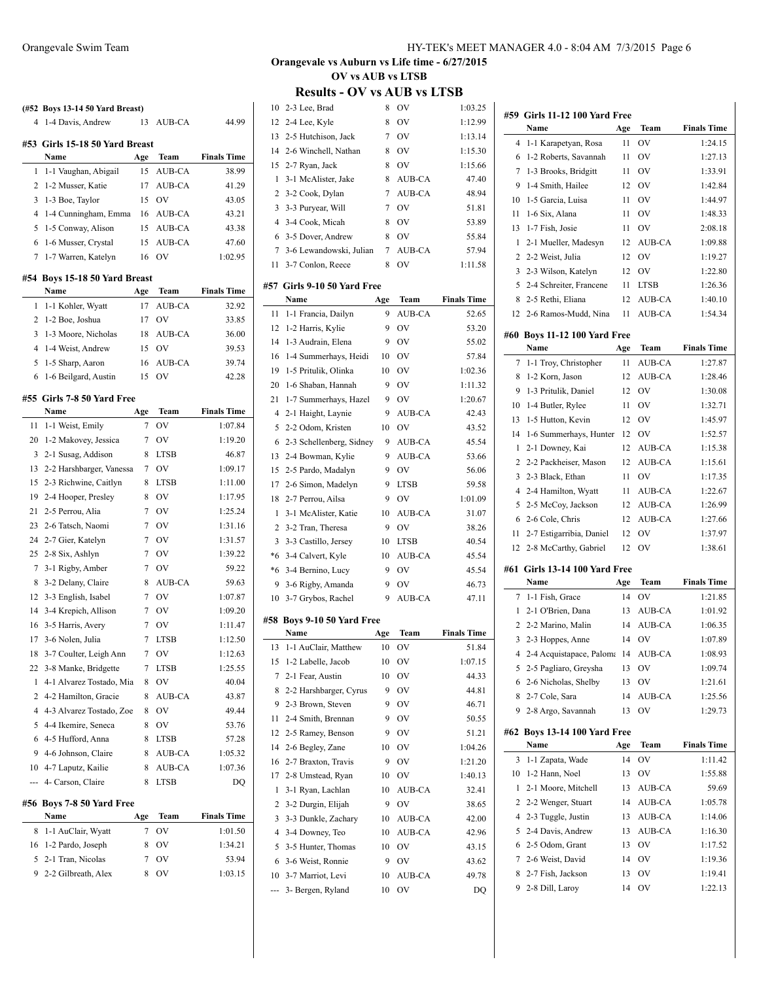| 4      | (#52 Boys 13-14 50 Yard Breast)<br>1-4 Davis, Andrew | 13             | AUB-CA        | 44.99              |
|--------|------------------------------------------------------|----------------|---------------|--------------------|
|        | #53 Girls 15-18 50 Yard Breast                       |                |               |                    |
|        | Name                                                 | Age            | Team          | <b>Finals Time</b> |
| 1      | 1-1 Vaughan, Abigail                                 | 15             | AUB-CA        | 38.99              |
| 2      | 1-2 Musser, Katie                                    | 17             | AUB-CA        | 41.29              |
| 3      | 1-3 Boe, Taylor                                      | 15             | OV            | 43.05              |
| 4      | 1-4 Cunningham, Emma                                 | 16             | AUB-CA        | 43.21              |
| 5      | 1-5 Conway, Alison                                   | 15             | AUB-CA        | 43.38              |
| 6      | 1-6 Musser, Crystal                                  | 15             | <b>AUB-CA</b> | 47.60              |
| 7      | 1-7 Warren, Katelyn                                  | 16             | OV            | 1:02.95            |
|        |                                                      |                |               |                    |
|        | #54 Boys 15-18 50 Yard Breast<br>Name                | Age            | Team          | <b>Finals Time</b> |
| 1      | 1-1 Kohler, Wyatt                                    | 17             | AUB-CA        | 32.92              |
| 2      | 1-2 Boe, Joshua                                      | 17             | OV            | 33.85              |
| 3      | 1-3 Moore, Nicholas                                  | 18             | AUB-CA        | 36.00              |
| 4      | 1-4 Weist, Andrew                                    | 15             | OV            | 39.53              |
| 5      | 1-5 Sharp, Aaron                                     | 16             | AUB-CA        | 39.74              |
| 6      | 1-6 Beilgard, Austin                                 | 15             | OV            | 42.28              |
|        |                                                      |                |               |                    |
|        | #55 Girls 7-8 50 Yard Free                           |                |               |                    |
|        | Name                                                 | Age            | Team          | <b>Finals Time</b> |
| 11     | 1-1 Weist, Emily                                     | 7              | OV            | 1:07.84            |
| 20     | 1-2 Makovey, Jessica                                 | 7              | OV            | 1:19.20            |
| 3      | 2-1 Susag, Addison                                   | 8              | <b>LTSB</b>   | 46.87              |
| 13     | 2-2 Harshbarger, Vanessa                             | 7              | OV            | 1:09.17            |
| 15     | 2-3 Richwine, Caitlyn                                | 8              | <b>LTSB</b>   | 1:11.00            |
| 19     | 2-4 Hooper, Presley                                  | 8              | OV            | 1:17.95            |
| 21     | 2-5 Perrou, Alia                                     | 7              | <b>OV</b>     | 1:25.24            |
| 23     | 2-6 Tatsch, Naomi                                    | 7              | <b>OV</b>     | 1:31.16            |
| 24     | 2-7 Gier, Katelyn                                    | 7              | <b>OV</b>     | 1:31.57            |
| 25     | 2-8 Six, Ashlyn                                      | 7              | <b>OV</b>     | 1:39.22            |
| 7      | 3-1 Rigby, Amber                                     | 7              | <b>OV</b>     | 59.22              |
| 8      | 3-2 Delany, Claire                                   | 8              | AUB-CA        | 59.63              |
|        | 12 3-3 English, Isabel                               | 7              | OV            | 1:07.87            |
| 14     | 3-4 Krepich, Allison                                 | 7              | OV            | 1:09.20            |
| 16     | 3-5 Harris, Avery                                    | 7              | OV            | 1:11.47            |
| 17     | 3-6 Nolen, Julia                                     | $\overline{7}$ | <b>LTSB</b>   | 1:12.50            |
| 18     | 3-7 Coulter, Leigh Ann                               | 7              | OV            | 1:12.63            |
| 22     | 3-8 Manke, Bridgette                                 | 7              | <b>LTSB</b>   | 1:25.55            |
| 1      | 4-1 Alvarez Tostado, Mia                             | 8              | OV            | 40.04              |
| 2      | 4-2 Hamilton, Gracie                                 | 8              | AUB-CA        | 43.87              |
| 4      | 4-3 Alvarez Tostado, Zoe                             | 8              | OV            | 49.44              |
| 5      | 4-4 Ikemire, Seneca                                  | 8              | OV            | 53.76              |
| 6      | 4-5 Hufford, Anna                                    | 8              | LTSB          | 57.28              |
| 9      | 4-6 Johnson, Claire                                  | 8              | AUB-CA        | 1:05.32            |
|        | 10 4-7 Laputz, Kailie                                | 8              | AUB-CA        | 1:07.36            |
| ---    | 4- Carson, Claire                                    | 8              | LTSB          | DQ                 |
|        | #56 Boys 7-8 50 Yard Free                            |                |               |                    |
|        | Name                                                 | Age            | Team          | <b>Finals Time</b> |
|        |                                                      |                |               |                    |
| 8      | 1-1 AuClair, Wyatt                                   | 7              | OV            | 1:01.50            |
| 16     | 1-2 Pardo, Joseph                                    | 8              | OV            | 1:34.21            |
| 5<br>9 | 2-1 Tran, Nicolas<br>2-2 Gilbreath, Alex             | 7<br>8         | OV<br>OV      | 53.94<br>1:03.15   |

## **Orangevale vs Auburn vs Life time - 6/27/2015 OV vs AUB vs LTSB**

| 10             | 2-3 Lee, Brad            | 8   | OV            | 1:03.25            |
|----------------|--------------------------|-----|---------------|--------------------|
| 12             | 2-4 Lee, Kyle            | 8   | OV            | 1:12.99            |
| 13             | 2-5 Hutchison, Jack      | 7   | OV            | 1:13.14            |
| 14             | 2-6 Winchell, Nathan     | 8   | <b>OV</b>     | 1:15.30            |
| 15             |                          | 8   | <b>OV</b>     | 1:15.66            |
|                | 2-7 Ryan, Jack           |     |               |                    |
| $\mathbf{1}$   | 3-1 McAlister, Jake      | 8   | AUB-CA        | 47.40              |
| 2              | 3-2 Cook, Dylan          | 7   | AUB-CA        | 48.94              |
| 3              | 3-3 Puryear, Will        | 7   | OV            | 51.81              |
| $\overline{4}$ | 3-4 Cook, Micah          | 8   | OV            | 53.89              |
| 6              | 3-5 Dover, Andrew        | 8   | <b>OV</b>     | 55.84              |
| 7              | 3-6 Lewandowski, Julian  | 7   | AUB-CA        | 57.94              |
| 11             | 3-7 Conlon, Reece        | 8   | OV            | 1:11.58            |
| #57            | Girls 9-10 50 Yard Free  |     |               |                    |
|                | Name                     | Age | Team          | <b>Finals Time</b> |
| 11             | 1-1 Francia, Dailyn      | 9   | <b>AUB-CA</b> | 52.65              |
| 12             | 1-2 Harris, Kylie        | 9   | OV            | 53.20              |
| 14             | 1-3 Audrain, Elena       | 9   | OV            | 55.02              |
| 16             | 1-4 Summerhays, Heidi    | 10  | OV            | 57.84              |
| 19             | 1-5 Pritulik, Olinka     | 10  | OV            | 1:02.36            |
| 20             | 1-6 Shaban, Hannah       | 9   | <b>OV</b>     | 1:11.32            |
| 21             | 1-7 Summerhays, Hazel    | 9   | <b>OV</b>     | 1:20.67            |
| $\overline{4}$ | 2-1 Haight, Laynie       | 9   | AUB-CA        | 42.43              |
| 5              | 2-2 Odom, Kristen        | 10  | <b>OV</b>     | 43.52              |
| 6              | 2-3 Schellenberg, Sidney | 9   | AUB-CA        | 45.54              |
| 13             | 2-4 Bowman, Kylie        | 9   | AUB-CA        | 53.66              |
| 15             | 2-5 Pardo, Madalyn       | 9   | OV            | 56.06              |
| 17             | 2-6 Simon, Madelyn       | 9   | <b>LTSB</b>   | 59.58              |
| 18             | 2-7 Perrou, Ailsa        | 9   | OV            | 1:01.09            |
| 1              | 3-1 McAlister, Katie     | 10  | AUB-CA        | 31.07              |
| $\overline{2}$ | 3-2 Tran, Theresa        | 9   | <b>OV</b>     | 38.26              |
| 3              | 3-3 Castillo, Jersey     | 10  | <b>LTSB</b>   | 40.54              |
| *6             | 3-4 Calvert, Kyle        | 10  | AUB-CA        | 45.54              |
| *6             | 3-4 Bernino, Lucy        | 9   | OV            | 45.54              |
| 9              | 3-6 Rigby, Amanda        | 9   | OV            | 46.73              |
| 10             | 3-7 Grybos, Rachel       | 9   | AUB-CA        | 47.11              |
|                |                          |     |               |                    |
| #58            | Boys 9-10 50 Yard Free   |     |               |                    |
|                | Name                     | Age | Team          | <b>Finals Time</b> |
| 13             | 1-1 AuClair, Matthew     | 10  | OV            | 51.84              |
| 15             | 1-2 Labelle, Jacob       | 10  | OV            | 1:07.15            |
| 7              | 2-1 Fear, Austin         | 10  | OV            | 44.33              |
| 8              | 2-2 Harshbarger, Cyrus   | 9   | OV            | 44.81              |
| 9              | 2-3 Brown, Steven        | 9   | OV            | 46.71              |
| 11             | 2-4 Smith, Brennan       | 9   | OV            | 50.55              |
| 12             | 2-5 Ramey, Benson        | 9   | OV            | 51.21              |
| 14             | 2-6 Begley, Zane         | 10  | OV            | 1:04.26            |
| 16             | 2-7 Braxton, Travis      | 9   | OV            | 1:21.20            |
| 17             | 2-8 Umstead, Ryan        | 10  | OV            | 1:40.13            |
| $\mathbf{1}$   | 3-1 Ryan, Lachlan        | 10  | AUB-CA        | 32.41              |
| 2              | 3-2 Durgin, Elijah       | 9   | OV            | 38.65              |
| 3              | 3-3 Dunkle, Zachary      | 10  | AUB-CA        | 42.00              |
| 4              | 3-4 Downey, Teo          | 10  | AUB-CA        | 42.96              |
| 5              | 3-5 Hunter, Thomas       | 10  | OV            | 43.15              |
| 6              | 3-6 Weist, Ronnie        | 9   | OV            | 43.62              |
| 10             | 3-7 Marriot, Levi        | 10  | AUB-CA        | 49.78              |
| ---            | 3- Bergen, Ryland        | 10  | OV            | DQ                 |

|     | #59 Girls 11-12 100 Yard Free            |     |               |                    |
|-----|------------------------------------------|-----|---------------|--------------------|
|     | Name                                     | Age | Team          | <b>Finals Time</b> |
| 4   | 1-1 Karapetyan, Rosa                     | 11  | OV            | 1:24.15            |
| 6   | 1-2 Roberts, Savannah                    | 11  | OV            | 1:27.13            |
| 7   | 1-3 Brooks, Bridgitt                     | 11  | OV            | 1:33.91            |
| 9   | 1-4 Smith, Hailee                        | 12  | OV            | 1:42.84            |
| 10  | 1-5 Garcia, Luisa                        | 11  | OV            | 1:44.97            |
| 11  | 1-6 Six, Alana                           | 11  | OV            | 1:48.33            |
| 13  | 1-7 Fish, Josie                          | 11  | OV            | 2:08.18            |
| 1   | 2-1 Mueller, Madesyn                     | 12  | AUB-CA        | 1:09.88            |
| 2   | 2-2 Weist, Julia                         | 12  | OV            | 1:19.27            |
| 3   | 2-3 Wilson, Katelyn                      | 12  | OV            | 1:22.80            |
| 5   | 2-4 Schreiter, Francene                  | 11  | LTSB          | 1:26.36            |
| 8   | 2-5 Rethi, Eliana                        | 12  | AUB-CA        | 1:40.10            |
| 12  | 2-6 Ramos-Mudd, Nina                     | 11  | AUB-CA        | 1:54.34            |
|     | #60 Boys 11-12 100 Yard Free<br>Name     | Age | <b>Team</b>   | <b>Finals Time</b> |
| 7   | 1-1 Troy, Christopher                    | 11  | AUB-CA        | 1:27.87            |
| 8   | 1-2 Korn, Jason                          | 12  | <b>AUB-CA</b> | 1:28.46            |
| 9   | 1-3 Pritulik, Daniel                     | 12  | OV            | 1:30.08            |
| 10  | 1-4 Butler, Rylee                        | 11  | OV            | 1:32.71            |
| 13  | 1-5 Hutton, Kevin                        | 12  | OV            | 1:45.97            |
| 14  | 1-6 Summerhays, Hunter                   | 12  | OV            | 1:52.57            |
| 1   | 2-1 Downey, Kai                          | 12  | AUB-CA        | 1:15.38            |
| 2   | 2-2 Packheiser, Mason                    | 12  | AUB-CA        | 1:15.61            |
| 3   | 2-3 Black, Ethan                         | 11  | OV            | 1:17.35            |
| 4   | 2-4 Hamilton, Wyatt                      | 11  | AUB-CA        | 1:22.67            |
| 5   | 2-5 McCoy, Jackson                       | 12  | AUB-CA        | 1:26.99            |
| 6   | 2-6 Cole, Chris                          | 12  | AUB-CA        | 1:27.66            |
| 11  | 2-7 Estigarribia, Daniel                 | 12  | OV            | 1:37.97            |
| 12  | 2-8 McCarthy, Gabriel                    | 12  | OV            | 1:38.61            |
|     |                                          |     |               |                    |
| #61 | <b>Girls 13-14 100 Yard Free</b><br>Name | Age | Team          | <b>Finals Time</b> |
| 7   | 1-1 Fish, Grace                          | 14  | OV            | 1:21.85            |
| 1   | 2-1 O'Brien, Dana                        | 13  | AUB-CA        | 1:01.92            |
| 2   | 2-2 Marino, Malin                        | 14  | AUB-CA        | 1:06.35            |
| 3   | 2-3 Hoppes, Anne                         | 14  | OV            | 1:07.89            |
| 4   | 2-4 Acquistapace, Paloma                 | 14  | <b>AUB-CA</b> | 1:08.93            |
| 5   | 2-5 Pagliaro, Greysha                    | 13  | OV            | 1:09.74            |
| 6   | 2-6 Nicholas, Shelby                     | 13  | OV            | 1:21.61            |
| 8   | 2-7 Cole, Sara                           | 14  | AUB-CA        | 1:25.56            |
| 9   | 2-8 Argo, Savannah                       | 13  | OV            | 1:29.73            |
| #62 | <b>Boys 13-14 100 Yard Free</b>          |     |               |                    |
|     | Name                                     | Age | Team          | <b>Finals Time</b> |
| 3   | 1-1 Zapata, Wade                         | 14  | OV            | 1:11.42            |
| 10  | 1-2 Hann, Noel                           | 13  | OV            | 1:55.88            |
| 1   | 2-1 Moore, Mitchell                      | 13  | AUB-CA        | 59.69              |
| 2   | 2-2 Wenger, Stuart                       | 14  | AUB-CA        | 1:05.78            |
| 4   | 2-3 Tuggle, Justin                       | 13  | AUB-CA        | 1:14.06            |
| 5   | 2-4 Davis, Andrew                        | 13  | AUB-CA        | 1:16.30            |
| 6   | 2-5 Odom, Grant                          | 13  | OV            | 1:17.52            |
| 7   | 2-6 Weist, David                         | 14  | OV            | 1:19.36            |
| 8   | 2-7 Fish, Jackson                        | 13  | OV            | 1:19.41            |
| 9   | 2-8 Dill, Laroy                          | 14  | OV            | 1:22.13            |
|     |                                          |     |               |                    |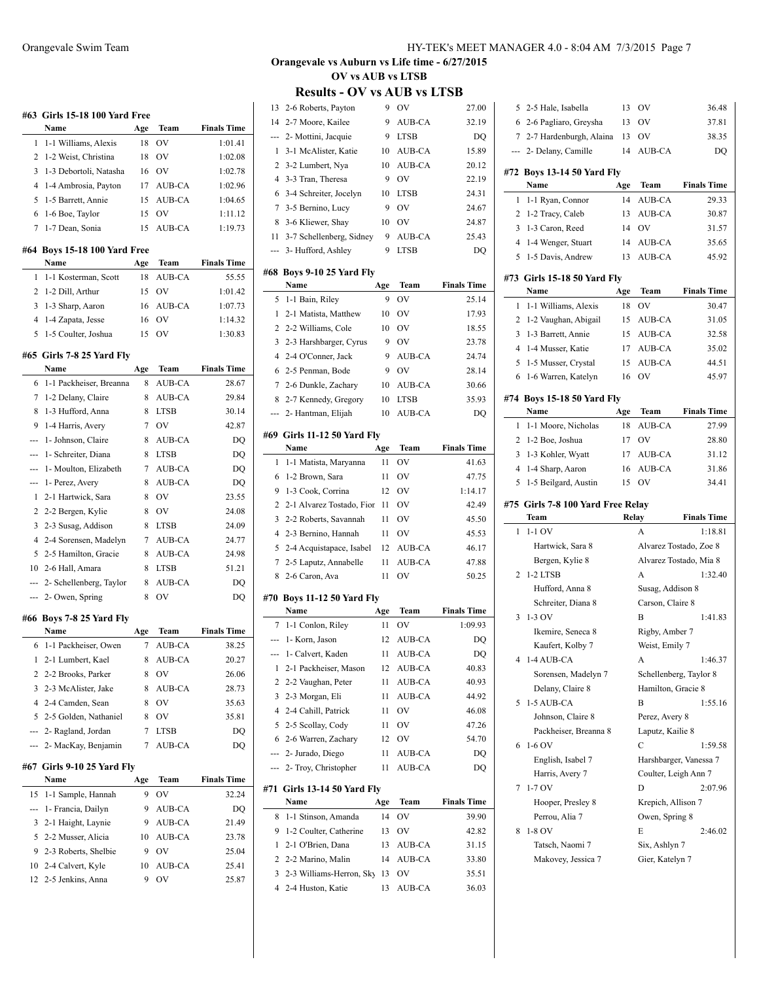|          | #63  Girls 15-18 100 Yard Free<br>Name |           | Team          | <b>Finals Time</b> |
|----------|----------------------------------------|-----------|---------------|--------------------|
| 1        | 1-1 Williams, Alexis                   | Age<br>18 | OV            | 1:01.41            |
| 2        | 1-2 Weist, Christina                   | 18        | <b>OV</b>     | 1:02.08            |
| 3        | 1-3 Debortoli, Natasha                 | 16        | <b>OV</b>     | 1:02.78            |
| 4        | 1-4 Ambrosia, Payton                   | 17        | AUB-CA        | 1:02.96            |
| 5        | 1-5 Barrett, Annie                     | 15        | AUB-CA        | 1:04.65            |
| 6        | 1-6 Boe, Taylor                        | 15        | OV            | 1:11.12            |
| 7        | 1-7 Dean, Sonia                        | 15        | <b>AUB-CA</b> | 1:19.73            |
|          | #64 Boys 15-18 100 Yard Free           |           |               |                    |
|          | Name                                   | Age       | Team          | <b>Finals Time</b> |
| 1        | 1-1 Kosterman, Scott                   | 18        | AUB-CA        | 55.55              |
| 2        | 1-2 Dill, Arthur                       | 15        | OV            | 1:01.42            |
| 3        | 1-3 Sharp, Aaron                       | 16        | AUB-CA        | 1:07.73            |
| 4        | 1-4 Zapata, Jesse                      | 16        | OV            | 1:14.32            |
| 5        | 1-5 Coulter, Joshua                    | 15        | OV            | 1:30.83            |
|          | #65 Girls 7-8 25 Yard Fly<br>Name      | Age       | Team          | <b>Finals Time</b> |
| 6        | 1-1 Packheiser, Breanna                | 8         | <b>AUB-CA</b> | 28.67              |
| 7        | 1-2 Delany, Claire                     | 8         | AUB-CA        | 29.84              |
| 8        | 1-3 Hufford, Anna                      | 8         | <b>LTSB</b>   | 30.14              |
| 9        | 1-4 Harris, Avery                      | 7         | <b>OV</b>     | 42.87              |
|          | 1- Johnson, Claire                     | 8         | AUB-CA        | DQ                 |
| ---      | 1- Schreiter, Diana                    | 8         | <b>LTSB</b>   | DO                 |
|          | 1- Moulton, Elizabeth                  | 7         | AUB-CA        | DQ                 |
| ---      | 1- Perez, Avery                        | 8         | AUB-CA        | DQ                 |
| 1        | 2-1 Hartwick, Sara                     | 8         | <b>OV</b>     | 23.55              |
| 2        | 2-2 Bergen, Kylie                      | 8         | <b>OV</b>     | 24.08              |
| 3        | 2-3 Susag, Addison                     | 8         | <b>LTSB</b>   | 24.09              |
| 4        | 2-4 Sorensen, Madelyn                  | 7         | AUB-CA        | 24.77              |
| 5        | 2-5 Hamilton, Gracie                   | 8         | AUB-CA        | 24.98              |
| 10       | 2-6 Hall, Amara                        | 8         | <b>LTSB</b>   | 51.21              |
| ---      | 2- Schellenberg, Taylor                | 8         | AUB-CA        | DQ                 |
| ---      | 2- Owen, Spring                        | 8         | OV            | DO                 |
|          | #66 Boys 7-8 25 Yard Fly               |           |               |                    |
|          | Name                                   | Age       | Team          | <b>Finals Time</b> |
| 6        | 1-1 Packheiser, Owen                   | 7         | AUB-CA        | 38.25              |
| 1        | 2-1 Lumbert, Kael                      | 8         | AUB-CA        | 20.27              |
| 2        | 2-2 Brooks, Parker                     | 8         | OV            | 26.06              |
| 3        | 2-3 McAlister, Jake                    | 8         | AUB-CA        | 28.73              |
| 4        | 2-4 Camden, Sean                       | 8         | OV            | 35.63              |
| 5        | 2-5 Golden, Nathaniel                  | 8         | OV            | 35.81              |
| ---      | 2- Ragland, Jordan                     | 7         | <b>LTSB</b>   | DQ                 |
| ---      | 2- MacKay, Benjamin                    | 7         | AUB-CA        | DQ                 |
|          | #67 Girls 9-10 25 Yard Fly<br>Name     | Age       | Team          | <b>Finals Time</b> |
| 15       | 1-1 Sample, Hannah                     | 9         | OV            | 32.24              |
|          | 1- Francia, Dailyn                     | 9         | AUB-CA        | DQ                 |
| 3        | 2-1 Haight, Laynie                     | 9         | AUB-CA        | 21.49              |
| 5        | 2-2 Musser, Alicia                     | 10        | AUB-CA        | 23.78              |
| 9        | 2-3 Roberts, Shelbie                   | 9         | OV            | 25.04              |
|          |                                        | 10        | AUB-CA        | 25.41              |
| 10<br>12 | 2-4 Calvert, Kyle<br>2-5 Jenkins, Anna | 9         | ov            |                    |
|          |                                        |           |               | 25.87              |

## **Orangevale vs Auburn vs Life time - 6/27/2015 OV vs AUB vs LTSB**

## **Results - OV vs AUB vs LTSB**

| 13             | 2-6 Roberts, Payton                     | 9        | OV               | 27.00              |
|----------------|-----------------------------------------|----------|------------------|--------------------|
| 14             | 2-7 Moore, Kailee                       | 9        | AUB-CA           | 32.19              |
| ---            | 2- Mottini, Jacquie                     | 9        | <b>LTSB</b>      | DQ                 |
| 1              | 3-1 McAlister, Katie                    | 10       | AUB-CA           | 15.89              |
| 2              | 3-2 Lumbert, Nya                        | 10       | AUB-CA           | 20.12              |
| $\overline{4}$ | 3-3 Tran, Theresa                       | 9        | OV               | 22.19              |
| 6              | 3-4 Schreiter, Jocelyn                  | 10       | <b>LTSB</b>      | 24.31              |
| 7              | 3-5 Bernino, Lucy                       | 9        | <b>OV</b>        | 24.67              |
| 8              | 3-6 Kliewer, Shay                       | 10       | <b>OV</b>        | 24.87              |
| 11             | 3-7 Schellenberg, Sidney                | 9        | AUB-CA           | 25.43              |
| ---            | 3- Hufford, Ashley                      | 9        | LTSB             | DQ                 |
|                | #68 Boys 9-10 25 Yard Fly               |          |                  |                    |
|                | Name                                    | Age      | Team             | <b>Finals Time</b> |
| 5              | 1-1 Bain, Riley                         | 9        | OV               | 25.14              |
| 1              | 2-1 Matista, Matthew                    | 10       | OV               | 17.93              |
| 2              | 2-2 Williams, Cole                      | 10       | OV               | 18.55              |
| 3              | 2-3 Harshbarger, Cyrus                  | 9        | <b>OV</b>        | 23.78              |
| $\overline{4}$ | 2-4 O'Conner, Jack                      | 9        | AUB-CA           | 24.74              |
| 6              | 2-5 Penman, Bode                        | 9        | OV               | 28.14              |
| 7              | 2-6 Dunkle, Zachary                     | 10       | AUB-CA           | 30.66              |
| 8              | 2-7 Kennedy, Gregory                    | 10       | <b>LTSB</b>      | 35.93              |
|                | 2- Hantman, Elijah                      | 10       | AUB-CA           | DO                 |
|                |                                         |          |                  |                    |
|                | #69 Girls 11-12 50 Yard Fly<br>Name     | Age      | Team             | <b>Finals Time</b> |
| 1              | 1-1 Matista, Maryanna                   | 11       | OV               | 41.63              |
| 6              | 1-2 Brown, Sara                         | 11       | OV               | 47.75              |
| 9              | 1-3 Cook, Corrina                       | 12       | OV               | 1:14.17            |
|                | 2-1 Alvarez Tostado, Fior               | 11       | OV               | 42.49              |
|                |                                         |          |                  |                    |
| 2<br>3         |                                         |          |                  |                    |
| $\overline{4}$ | 2-2 Roberts, Savannah                   | 11<br>11 | OV<br>OV         | 45.50              |
| 5              | 2-3 Bernino, Hannah                     | 12       |                  | 45.53              |
| 7              | 2-4 Acquistapace, Isabel                | 11       | AUB-CA<br>AUB-CA | 46.17              |
| 8              | 2-5 Laputz, Annabelle<br>2-6 Caron, Ava | 11       | OV               | 47.88<br>50.25     |
|                |                                         |          |                  |                    |
|                | #70 Boys 11-12 50 Yard Fly              |          |                  |                    |
|                | Name                                    | Age      | Team             | <b>Finals Time</b> |
| $\tau$         | 1-1 Conlon, Riley                       | 11       | OV               | 1:09.93            |
|                | --- 1- Korn, Jason                      | 12       | AUB-CA           | DO                 |
| ---            | 1- Calvert, Kaden                       | 11       | AUB-CA           | DQ                 |
| 1              | 2-1 Packheiser, Mason                   | 12       | AUB-CA           | 40.83              |
| 2              | 2-2 Vaughan, Peter                      | 11       | AUB-CA           | 40.93              |
| 3              | 2-3 Morgan, Eli                         | 11       | AUB-CA           | 44.92              |
| $\overline{4}$ | 2-4 Cahill, Patrick                     | 11       | OV               | 46.08              |
| 5              | 2-5 Scollay, Cody                       | 11       | OV               | 47.26              |
| 6              | 2-6 Warren, Zachary                     | 12       | OV               | 54.70              |
| ---            | 2- Jurado, Diego                        | 11       | AUB-CA           | DQ                 |
| ---            | 2- Troy, Christopher                    | 11       | AUB-CA           | DQ                 |
| #71            | <b>Girls 13-14 50 Yard Fly</b>          |          |                  |                    |
|                | Name                                    | Age      | Team             | <b>Finals Time</b> |
| 8<br>9         | 1-1 Stinson, Amanda                     | 14<br>13 | OV               | 39.90              |
| 1              | 1-2 Coulter, Catherine                  | 13       | OV               | 42.82              |
| 2              | 2-1 O'Brien, Dana<br>2-2 Marino, Malin  | 14       | AUB-CA           | 31.15              |
| 3              | 2-3 Williams-Herron, Sky                | 13       | AUB-CA<br>OV     | 33.80<br>35.51     |
| 4              | 2-4 Huston, Katie                       | 13       | AUB-CA           | 36.03              |

| 5   | 2-5 Hale, Isabella                  | 13    | OV                     | 36.48                  |
|-----|-------------------------------------|-------|------------------------|------------------------|
| 6   | 2-6 Pagliaro, Greysha               | 13    | OV                     | 37.81                  |
| 7   | 2-7 Hardenburgh, Alaina             | 13    | OV                     | 38.35                  |
|     | 2- Delany, Camille                  | 14    | AUB-CA                 | DQ                     |
|     |                                     |       |                        |                        |
| #72 | <b>Boys 13-14 50 Yard Fly</b>       |       |                        |                        |
|     | Name                                | Age   | Team                   | <b>Finals Time</b>     |
| 1   | 1-1 Ryan, Connor                    | 14    | <b>AUB-CA</b>          | 29.33                  |
| 2   | 1-2 Tracy, Caleb                    | 13    | AUB-CA                 | 30.87                  |
| 3   | 1-3 Caron, Reed                     | 14    | OV                     | 31.57                  |
| 4   | 1-4 Wenger, Stuart                  | 14    | AUB-CA                 | 35.65                  |
| 5   | 1-5 Davis, Andrew                   | 13    | <b>AUB-CA</b>          | 45.92                  |
|     | #73  Girls 15-18 50 Yard Fly        |       |                        |                        |
|     | Name                                | Age   | Team                   | <b>Finals Time</b>     |
| 1   | 1-1 Williams, Alexis                | 18    | OV                     | 30.47                  |
| 2   | 1-2 Vaughan, Abigail                | 15    | AUB-CA                 | 31.05                  |
| 3   | 1-3 Barrett, Annie                  | 15    | AUB-CA                 | 32.58                  |
| 4   | 1-4 Musser, Katie                   | 17    | AUB-CA                 | 35.02                  |
| 5   | 1-5 Musser, Crystal                 | 15    | AUB-CA                 | 44.51                  |
| 6   | 1-6 Warren, Katelyn                 | 16    | OV                     | 45.97                  |
|     |                                     |       |                        |                        |
|     | #74  Boys 15-18 50 Yard Fly<br>Name | Age   | Team                   | <b>Finals Time</b>     |
| 1   | 1-1 Moore, Nicholas                 | 18    | AUB-CA                 | 27.99                  |
| 2   | 1-2 Boe, Joshua                     | 17    | OV                     | 28.80                  |
| 3   | 1-3 Kohler, Wyatt                   | 17    | AUB-CA                 |                        |
|     |                                     |       |                        | 31.12                  |
|     |                                     |       |                        |                        |
| 4   | 1-4 Sharp, Aaron                    | 16    | AUB-CA                 | 31.86                  |
| 5   | 1-5 Beilgard, Austin                | 15    | OV                     | 34.41                  |
|     | #75 Girls 7-8 100 Yard Free Relay   |       |                        |                        |
|     | Team                                | Relay |                        | <b>Finals Time</b>     |
| 1   | $1-1$ OV                            |       | A                      | 1:18.81                |
|     | Hartwick, Sara 8                    |       |                        | Alvarez Tostado, Zoe 8 |
|     | Bergen, Kylie 8                     |       |                        | Alvarez Tostado, Mia 8 |
| 2   | 1-2 LTSB                            |       | A                      | 1:32.40                |
|     | Hufford, Anna 8                     |       | Susag, Addison 8       |                        |
|     | Schreiter, Diana 8                  |       | Carson, Claire 8       |                        |
| 3   | 1-3 OV                              |       | B                      | 1:41.83                |
|     | Ikemire, Seneca 8                   |       | Rigby, Amber 7         |                        |
|     | Kaufert, Kolby 7                    |       | Weist, Emily 7         |                        |
|     | 1-4 AUB-CA                          |       | А                      | 1:46.37                |
|     | Sorensen, Madelyn 7                 |       | Schellenberg, Taylor 8 |                        |
|     | Delany, Claire 8                    |       | Hamilton, Gracie 8     |                        |
| 5   | 1-5 AUB-CA                          |       | B                      | 1:55.16                |
|     | Johnson, Claire 8                   |       | Perez, Avery 8         |                        |
|     | Packheiser, Breanna 8               |       | Laputz, Kailie 8       |                        |
| 6   | 1-6 OV                              |       | C                      | 1:59.58                |
|     | English, Isabel 7                   |       |                        | Harshbarger, Vanessa 7 |
|     | Harris, Avery 7                     |       | Coulter, Leigh Ann 7   |                        |
| 7   | $1-7$ OV                            |       | D                      | 2:07.96                |
|     | Hooper, Presley 8                   |       | Krepich, Allison 7     |                        |
|     | Perrou, Alia 7                      |       | Owen, Spring 8         |                        |
| 8   | 1-8 OV                              |       | E                      | 2:46.02                |
|     | Tatsch, Naomi 7                     |       | Six, Ashlyn 7          |                        |
|     | Makovey, Jessica 7                  |       | Gier, Katelyn 7        |                        |